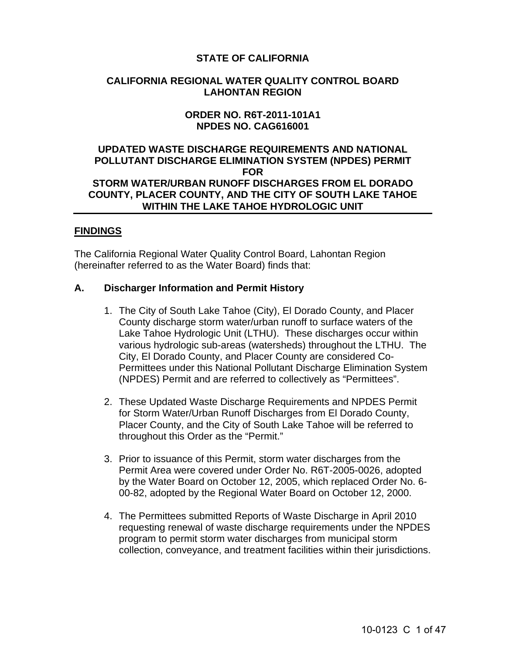# **STATE OF CALIFORNIA**

## **CALIFORNIA REGIONAL WATER QUALITY CONTROL BOARD LAHONTAN REGION**

## **ORDER NO. R6T-2011-101A1 NPDES NO. CAG616001**

## **UPDATED WASTE DISCHARGE REQUIREMENTS AND NATIONAL POLLUTANT DISCHARGE ELIMINATION SYSTEM (NPDES) PERMIT FOR STORM WATER/URBAN RUNOFF DISCHARGES FROM EL DORADO COUNTY, PLACER COUNTY, AND THE CITY OF SOUTH LAKE TAHOE WITHIN THE LAKE TAHOE HYDROLOGIC UNIT**

## **FINDINGS**

The California Regional Water Quality Control Board, Lahontan Region (hereinafter referred to as the Water Board) finds that:

## **A. Discharger Information and Permit History**

- 1. The City of South Lake Tahoe (City), El Dorado County, and Placer County discharge storm water/urban runoff to surface waters of the Lake Tahoe Hydrologic Unit (LTHU). These discharges occur within various hydrologic sub-areas (watersheds) throughout the LTHU. The City, El Dorado County, and Placer County are considered Co-Permittees under this National Pollutant Discharge Elimination System (NPDES) Permit and are referred to collectively as "Permittees".
- 2. These Updated Waste Discharge Requirements and NPDES Permit for Storm Water/Urban Runoff Discharges from El Dorado County, Placer County, and the City of South Lake Tahoe will be referred to throughout this Order as the "Permit."
- 3. Prior to issuance of this Permit, storm water discharges from the Permit Area were covered under Order No. R6T-2005-0026, adopted by the Water Board on October 12, 2005, which replaced Order No. 6- 00-82, adopted by the Regional Water Board on October 12, 2000.
- 4. The Permittees submitted Reports of Waste Discharge in April 2010 requesting renewal of waste discharge requirements under the NPDES program to permit storm water discharges from municipal storm collection, conveyance, and treatment facilities within their jurisdictions.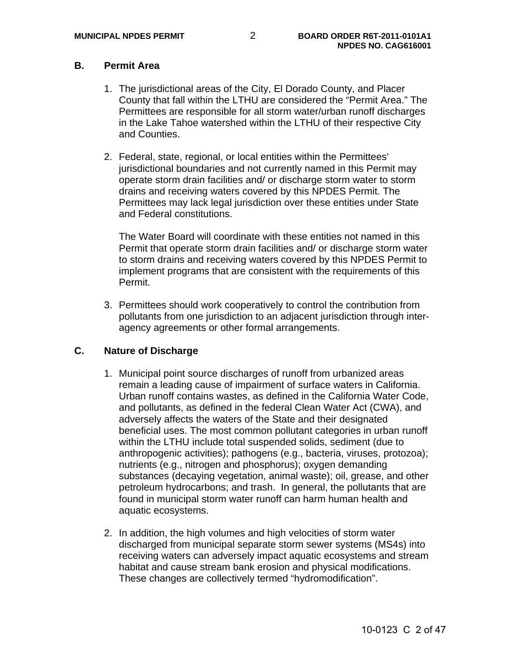# **B. Permit Area**

- 1. The jurisdictional areas of the City, El Dorado County, and Placer County that fall within the LTHU are considered the "Permit Area." The Permittees are responsible for all storm water/urban runoff discharges in the Lake Tahoe watershed within the LTHU of their respective City and Counties.
- 2. Federal, state, regional, or local entities within the Permittees' jurisdictional boundaries and not currently named in this Permit may operate storm drain facilities and/ or discharge storm water to storm drains and receiving waters covered by this NPDES Permit. The Permittees may lack legal jurisdiction over these entities under State and Federal constitutions.

The Water Board will coordinate with these entities not named in this Permit that operate storm drain facilities and/ or discharge storm water to storm drains and receiving waters covered by this NPDES Permit to implement programs that are consistent with the requirements of this Permit.

3. Permittees should work cooperatively to control the contribution from pollutants from one jurisdiction to an adjacent jurisdiction through interagency agreements or other formal arrangements.

# **C. Nature of Discharge**

- 1. Municipal point source discharges of runoff from urbanized areas remain a leading cause of impairment of surface waters in California. Urban runoff contains wastes, as defined in the California Water Code, and pollutants, as defined in the federal Clean Water Act (CWA), and adversely affects the waters of the State and their designated beneficial uses. The most common pollutant categories in urban runoff within the LTHU include total suspended solids, sediment (due to anthropogenic activities); pathogens (e.g., bacteria, viruses, protozoa); nutrients (e.g., nitrogen and phosphorus); oxygen demanding substances (decaying vegetation, animal waste); oil, grease, and other petroleum hydrocarbons; and trash. In general, the pollutants that are found in municipal storm water runoff can harm human health and aquatic ecosystems.
- 2. In addition, the high volumes and high velocities of storm water discharged from municipal separate storm sewer systems (MS4s) into receiving waters can adversely impact aquatic ecosystems and stream habitat and cause stream bank erosion and physical modifications. These changes are collectively termed "hydromodification".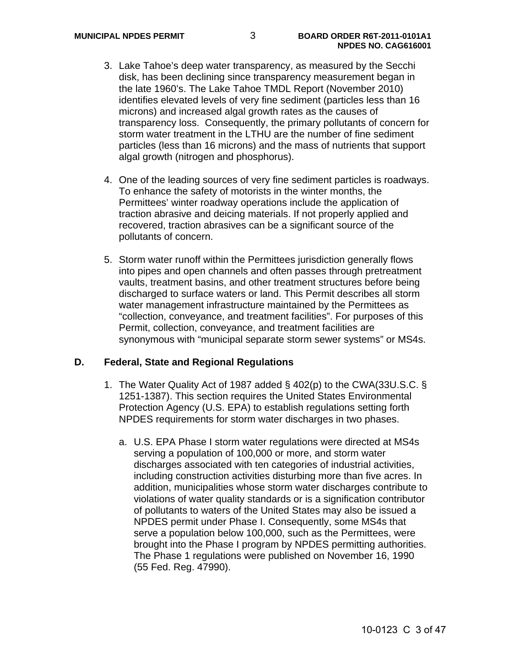- 3. Lake Tahoe's deep water transparency, as measured by the Secchi disk, has been declining since transparency measurement began in the late 1960's. The Lake Tahoe TMDL Report (November 2010) identifies elevated levels of very fine sediment (particles less than 16 microns) and increased algal growth rates as the causes of transparency loss. Consequently, the primary pollutants of concern for storm water treatment in the LTHU are the number of fine sediment particles (less than 16 microns) and the mass of nutrients that support algal growth (nitrogen and phosphorus).
- 4. One of the leading sources of very fine sediment particles is roadways. To enhance the safety of motorists in the winter months, the Permittees' winter roadway operations include the application of traction abrasive and deicing materials. If not properly applied and recovered, traction abrasives can be a significant source of the pollutants of concern.
- 5. Storm water runoff within the Permittees jurisdiction generally flows into pipes and open channels and often passes through pretreatment vaults, treatment basins, and other treatment structures before being discharged to surface waters or land. This Permit describes all storm water management infrastructure maintained by the Permittees as "collection, conveyance, and treatment facilities". For purposes of this Permit, collection, conveyance, and treatment facilities are synonymous with "municipal separate storm sewer systems" or MS4s.

#### **D. Federal, State and Regional Regulations**

- 1. The Water Quality Act of 1987 added § 402(p) to the CWA(33U.S.C. § 1251-1387). This section requires the United States Environmental Protection Agency (U.S. EPA) to establish regulations setting forth NPDES requirements for storm water discharges in two phases.
	- a. U.S. EPA Phase I storm water regulations were directed at MS4s serving a population of 100,000 or more, and storm water discharges associated with ten categories of industrial activities, including construction activities disturbing more than five acres. In addition, municipalities whose storm water discharges contribute to violations of water quality standards or is a signification contributor of pollutants to waters of the United States may also be issued a NPDES permit under Phase I. Consequently, some MS4s that serve a population below 100,000, such as the Permittees, were brought into the Phase I program by NPDES permitting authorities. The Phase 1 regulations were published on November 16, 1990 (55 Fed. Reg. 47990).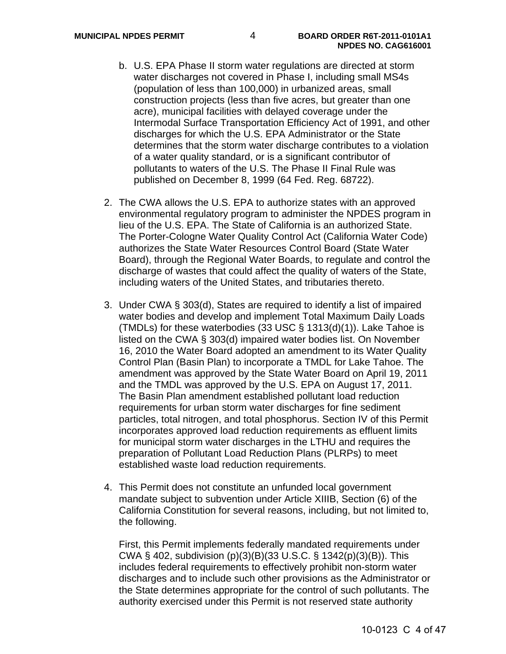- b. U.S. EPA Phase II storm water regulations are directed at storm water discharges not covered in Phase I, including small MS4s (population of less than 100,000) in urbanized areas, small construction projects (less than five acres, but greater than one acre), municipal facilities with delayed coverage under the Intermodal Surface Transportation Efficiency Act of 1991, and other discharges for which the U.S. EPA Administrator or the State determines that the storm water discharge contributes to a violation of a water quality standard, or is a significant contributor of pollutants to waters of the U.S. The Phase II Final Rule was published on December 8, 1999 (64 Fed. Reg. 68722).
- 2. The CWA allows the U.S. EPA to authorize states with an approved environmental regulatory program to administer the NPDES program in lieu of the U.S. EPA. The State of California is an authorized State. The Porter-Cologne Water Quality Control Act (California Water Code) authorizes the State Water Resources Control Board (State Water Board), through the Regional Water Boards, to regulate and control the discharge of wastes that could affect the quality of waters of the State, including waters of the United States, and tributaries thereto.
- 3. Under CWA § 303(d), States are required to identify a list of impaired water bodies and develop and implement Total Maximum Daily Loads (TMDLs) for these waterbodies (33 USC § 1313(d)(1)). Lake Tahoe is listed on the CWA § 303(d) impaired water bodies list. On November 16, 2010 the Water Board adopted an amendment to its Water Quality Control Plan (Basin Plan) to incorporate a TMDL for Lake Tahoe. The amendment was approved by the State Water Board on April 19, 2011 and the TMDL was approved by the U.S. EPA on August 17, 2011. The Basin Plan amendment established pollutant load reduction requirements for urban storm water discharges for fine sediment particles, total nitrogen, and total phosphorus. Section IV of this Permit incorporates approved load reduction requirements as effluent limits for municipal storm water discharges in the LTHU and requires the preparation of Pollutant Load Reduction Plans (PLRPs) to meet established waste load reduction requirements.
- 4. This Permit does not constitute an unfunded local government mandate subject to subvention under Article XIIIB, Section (6) of the California Constitution for several reasons, including, but not limited to, the following.

First, this Permit implements federally mandated requirements under CWA § 402, subdivision (p)(3)(B)(33 U.S.C. § 1342(p)(3)(B)). This includes federal requirements to effectively prohibit non-storm water discharges and to include such other provisions as the Administrator or the State determines appropriate for the control of such pollutants. The authority exercised under this Permit is not reserved state authority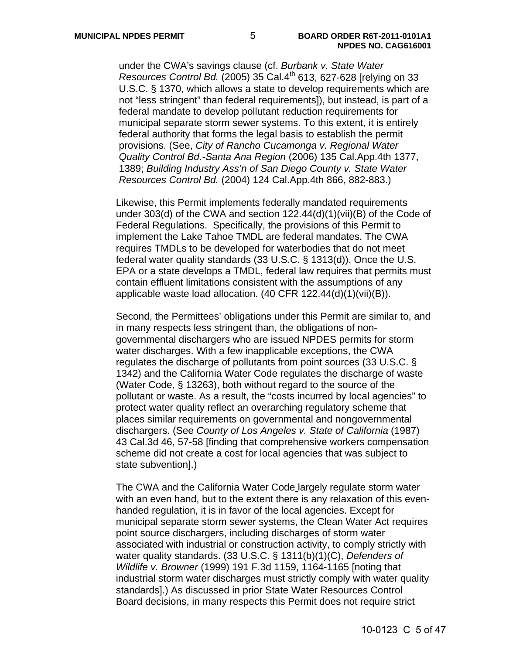under the CWA's savings clause (cf. *Burbank v. State Water Resources Control Bd.* (2005) 35 Cal.4<sup>th</sup> 613, 627-628 [relying on 33 U.S.C. § 1370, which allows a state to develop requirements which are not "less stringent" than federal requirements]), but instead, is part of a federal mandate to develop pollutant reduction requirements for municipal separate storm sewer systems. To this extent, it is entirely federal authority that forms the legal basis to establish the permit provisions. (See, *City of Rancho Cucamonga v. Regional Water Quality Control Bd.-Santa Ana Region* (2006) 135 Cal.App.4th 1377, 1389; *Building Industry Ass'n of San Diego County v. State Water Resources Control Bd.* (2004) 124 Cal.App.4th 866, 882-883.)

Likewise, this Permit implements federally mandated requirements under 303(d) of the CWA and section 122.44(d)(1)(vii)(B) of the Code of Federal Regulations. Specifically, the provisions of this Permit to implement the Lake Tahoe TMDL are federal mandates. The CWA requires TMDLs to be developed for waterbodies that do not meet federal water quality standards (33 U.S.C. § 1313(d)). Once the U.S. EPA or a state develops a TMDL, federal law requires that permits must contain effluent limitations consistent with the assumptions of any applicable waste load allocation. (40 CFR 122.44(d)(1)(vii)(B)).

Second, the Permittees' obligations under this Permit are similar to, and in many respects less stringent than, the obligations of nongovernmental dischargers who are issued NPDES permits for storm water discharges. With a few inapplicable exceptions, the CWA regulates the discharge of pollutants from point sources (33 U.S.C. § 1342) and the California Water Code regulates the discharge of waste (Water Code, § 13263), both without regard to the source of the pollutant or waste. As a result, the "costs incurred by local agencies" to protect water quality reflect an overarching regulatory scheme that places similar requirements on governmental and nongovernmental dischargers. (See *County of Los Angeles v. State of California* (1987) 43 Cal.3d 46, 57-58 [finding that comprehensive workers compensation scheme did not create a cost for local agencies that was subject to state subvention].)

The CWA and the California Water Code largely regulate storm water with an even hand, but to the extent there is any relaxation of this evenhanded regulation, it is in favor of the local agencies. Except for municipal separate storm sewer systems, the Clean Water Act requires point source dischargers, including discharges of storm water associated with industrial or construction activity, to comply strictly with water quality standards. (33 U.S.C. § 1311(b)(1)(C), *Defenders of Wildlife v. Browner* (1999) 191 F.3d 1159, 1164-1165 [noting that industrial storm water discharges must strictly comply with water quality standards].) As discussed in prior State Water Resources Control Board decisions, in many respects this Permit does not require strict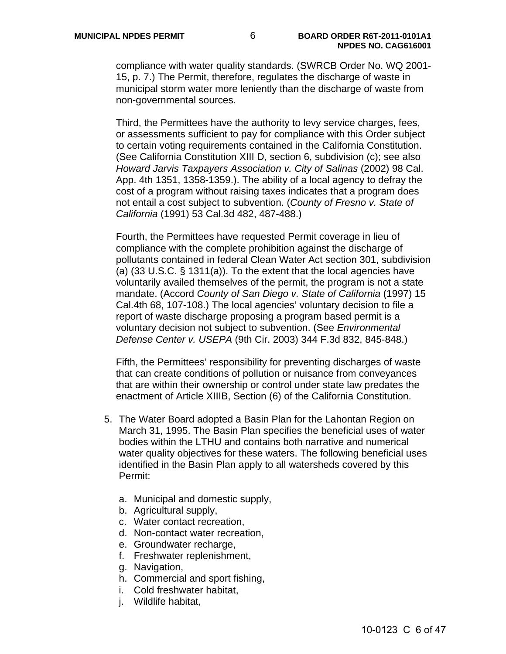compliance with water quality standards. (SWRCB Order No. WQ 2001- 15, p. 7.) The Permit, therefore, regulates the discharge of waste in municipal storm water more leniently than the discharge of waste from non-governmental sources.

Third, the Permittees have the authority to levy service charges, fees, or assessments sufficient to pay for compliance with this Order subject to certain voting requirements contained in the California Constitution. (See California Constitution XIII D, section 6, subdivision (c); see also *Howard Jarvis Taxpayers Association v. City of Salinas* (2002) 98 Cal. App. 4th 1351, 1358-1359.). The ability of a local agency to defray the cost of a program without raising taxes indicates that a program does not entail a cost subject to subvention. (*County of Fresno v. State of California* (1991) 53 Cal.3d 482, 487-488.)

Fourth, the Permittees have requested Permit coverage in lieu of compliance with the complete prohibition against the discharge of pollutants contained in federal Clean Water Act section 301, subdivision (a) (33 U.S.C. § 1311(a)). To the extent that the local agencies have voluntarily availed themselves of the permit, the program is not a state mandate. (Accord *County of San Diego v. State of California* (1997) 15 Cal.4th 68, 107-108.) The local agencies' voluntary decision to file a report of waste discharge proposing a program based permit is a voluntary decision not subject to subvention. (See *Environmental Defense Center v. USEPA* (9th Cir. 2003) 344 F.3d 832, 845-848.)

Fifth, the Permittees' responsibility for preventing discharges of waste that can create conditions of pollution or nuisance from conveyances that are within their ownership or control under state law predates the enactment of Article XIIIB, Section (6) of the California Constitution.

- 5. The Water Board adopted a Basin Plan for the Lahontan Region on March 31, 1995. The Basin Plan specifies the beneficial uses of water bodies within the LTHU and contains both narrative and numerical water quality objectives for these waters. The following beneficial uses identified in the Basin Plan apply to all watersheds covered by this Permit:
	- a. Municipal and domestic supply,
	- b. Agricultural supply,
	- c. Water contact recreation,
	- d. Non-contact water recreation,
	- e. Groundwater recharge,
	- f. Freshwater replenishment,
	- g. Navigation,
	- h. Commercial and sport fishing,
	- i. Cold freshwater habitat,
	- j. Wildlife habitat,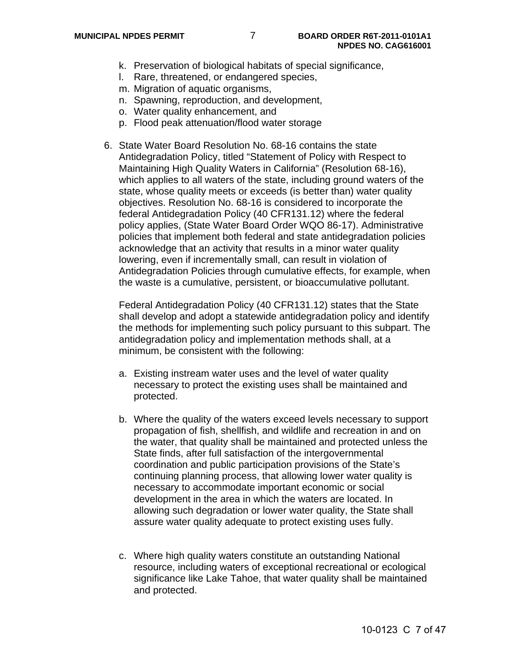- k. Preservation of biological habitats of special significance,
- l. Rare, threatened, or endangered species,
- m. Migration of aquatic organisms,
- n. Spawning, reproduction, and development,
- o. Water quality enhancement, and
- p. Flood peak attenuation/flood water storage
- 6. State Water Board Resolution No. 68-16 contains the state Antidegradation Policy, titled "Statement of Policy with Respect to Maintaining High Quality Waters in California" (Resolution 68-16), which applies to all waters of the state, including ground waters of the state, whose quality meets or exceeds (is better than) water quality objectives. Resolution No. 68-16 is considered to incorporate the federal Antidegradation Policy (40 CFR131.12) where the federal policy applies, (State Water Board Order WQO 86-17). Administrative policies that implement both federal and state antidegradation policies acknowledge that an activity that results in a minor water quality lowering, even if incrementally small, can result in violation of Antidegradation Policies through cumulative effects, for example, when the waste is a cumulative, persistent, or bioaccumulative pollutant.

Federal Antidegradation Policy (40 CFR131.12) states that the State shall develop and adopt a statewide antidegradation policy and identify the methods for implementing such policy pursuant to this subpart. The antidegradation policy and implementation methods shall, at a minimum, be consistent with the following:

- a. Existing instream water uses and the level of water quality necessary to protect the existing uses shall be maintained and protected.
- b. Where the quality of the waters exceed levels necessary to support propagation of fish, shellfish, and wildlife and recreation in and on the water, that quality shall be maintained and protected unless the State finds, after full satisfaction of the intergovernmental coordination and public participation provisions of the State's continuing planning process, that allowing lower water quality is necessary to accommodate important economic or social development in the area in which the waters are located. In allowing such degradation or lower water quality, the State shall assure water quality adequate to protect existing uses fully.
- c. Where high quality waters constitute an outstanding National resource, including waters of exceptional recreational or ecological significance like Lake Tahoe, that water quality shall be maintained and protected.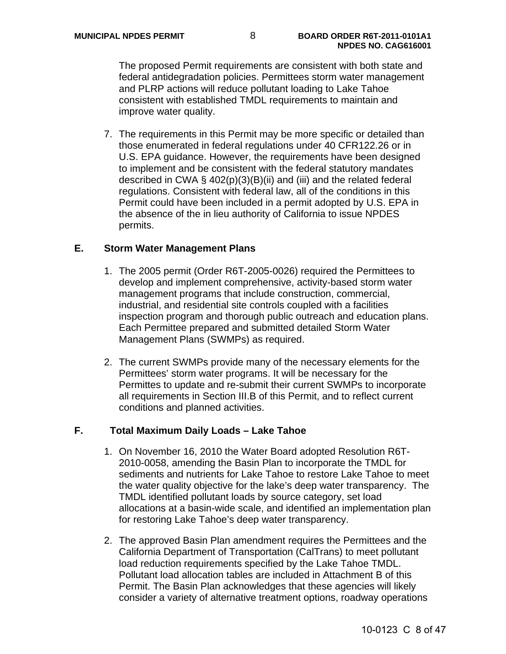The proposed Permit requirements are consistent with both state and federal antidegradation policies. Permittees storm water management and PLRP actions will reduce pollutant loading to Lake Tahoe consistent with established TMDL requirements to maintain and improve water quality.

7. The requirements in this Permit may be more specific or detailed than those enumerated in federal regulations under 40 CFR122.26 or in U.S. EPA guidance. However, the requirements have been designed to implement and be consistent with the federal statutory mandates described in CWA § 402(p)(3)(B)(ii) and (iii) and the related federal regulations. Consistent with federal law, all of the conditions in this Permit could have been included in a permit adopted by U.S. EPA in the absence of the in lieu authority of California to issue NPDES permits.

## **E. Storm Water Management Plans**

- 1. The 2005 permit (Order R6T-2005-0026) required the Permittees to develop and implement comprehensive, activity-based storm water management programs that include construction, commercial, industrial, and residential site controls coupled with a facilities inspection program and thorough public outreach and education plans. Each Permittee prepared and submitted detailed Storm Water Management Plans (SWMPs) as required.
- 2. The current SWMPs provide many of the necessary elements for the Permittees' storm water programs. It will be necessary for the Permittes to update and re-submit their current SWMPs to incorporate all requirements in Section III.B of this Permit, and to reflect current conditions and planned activities.

# **F. Total Maximum Daily Loads – Lake Tahoe**

- 1. On November 16, 2010 the Water Board adopted Resolution R6T-2010-0058, amending the Basin Plan to incorporate the TMDL for sediments and nutrients for Lake Tahoe to restore Lake Tahoe to meet the water quality objective for the lake's deep water transparency. The TMDL identified pollutant loads by source category, set load allocations at a basin-wide scale, and identified an implementation plan for restoring Lake Tahoe's deep water transparency.
- 2. The approved Basin Plan amendment requires the Permittees and the California Department of Transportation (CalTrans) to meet pollutant load reduction requirements specified by the Lake Tahoe TMDL. Pollutant load allocation tables are included in Attachment B of this Permit. The Basin Plan acknowledges that these agencies will likely consider a variety of alternative treatment options, roadway operations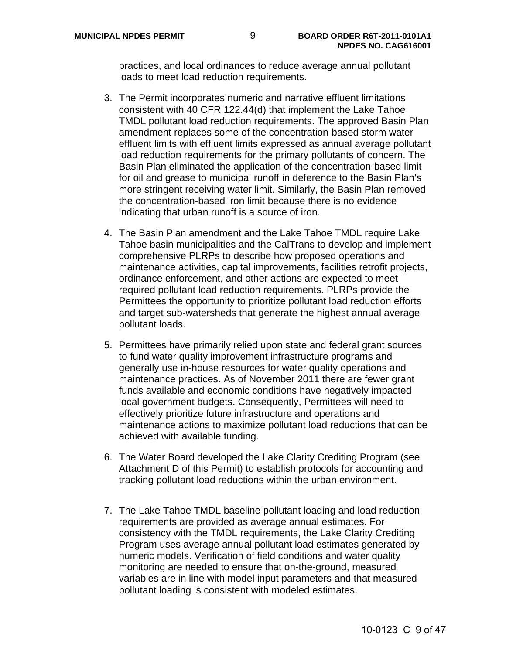practices, and local ordinances to reduce average annual pollutant loads to meet load reduction requirements.

- 3. The Permit incorporates numeric and narrative effluent limitations consistent with 40 CFR 122.44(d) that implement the Lake Tahoe TMDL pollutant load reduction requirements. The approved Basin Plan amendment replaces some of the concentration-based storm water effluent limits with effluent limits expressed as annual average pollutant load reduction requirements for the primary pollutants of concern. The Basin Plan eliminated the application of the concentration-based limit for oil and grease to municipal runoff in deference to the Basin Plan's more stringent receiving water limit. Similarly, the Basin Plan removed the concentration-based iron limit because there is no evidence indicating that urban runoff is a source of iron.
- 4. The Basin Plan amendment and the Lake Tahoe TMDL require Lake Tahoe basin municipalities and the CalTrans to develop and implement comprehensive PLRPs to describe how proposed operations and maintenance activities, capital improvements, facilities retrofit projects, ordinance enforcement, and other actions are expected to meet required pollutant load reduction requirements. PLRPs provide the Permittees the opportunity to prioritize pollutant load reduction efforts and target sub-watersheds that generate the highest annual average pollutant loads.
- 5. Permittees have primarily relied upon state and federal grant sources to fund water quality improvement infrastructure programs and generally use in-house resources for water quality operations and maintenance practices. As of November 2011 there are fewer grant funds available and economic conditions have negatively impacted local government budgets. Consequently, Permittees will need to effectively prioritize future infrastructure and operations and maintenance actions to maximize pollutant load reductions that can be achieved with available funding.
- 6. The Water Board developed the Lake Clarity Crediting Program (see Attachment D of this Permit) to establish protocols for accounting and tracking pollutant load reductions within the urban environment.
- 7. The Lake Tahoe TMDL baseline pollutant loading and load reduction requirements are provided as average annual estimates. For consistency with the TMDL requirements, the Lake Clarity Crediting Program uses average annual pollutant load estimates generated by numeric models. Verification of field conditions and water quality monitoring are needed to ensure that on-the-ground, measured variables are in line with model input parameters and that measured pollutant loading is consistent with modeled estimates.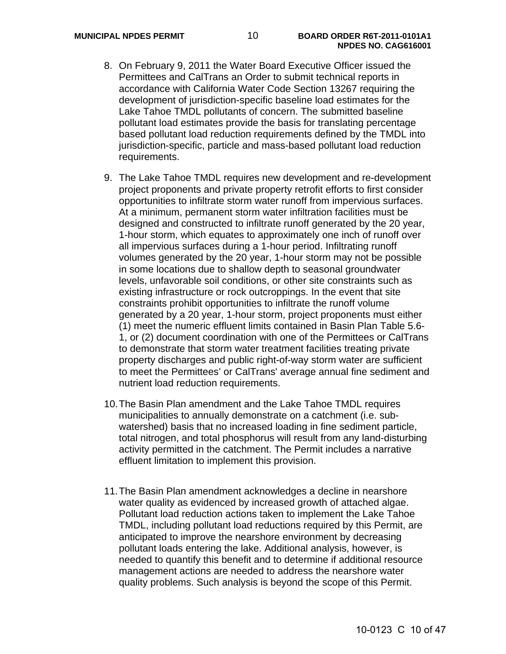- 8. On February 9, 2011 the Water Board Executive Officer issued the Permittees and CalTrans an Order to submit technical reports in accordance with California Water Code Section 13267 requiring the development of jurisdiction-specific baseline load estimates for the Lake Tahoe TMDL pollutants of concern. The submitted baseline pollutant load estimates provide the basis for translating percentage based pollutant load reduction requirements defined by the TMDL into jurisdiction-specific, particle and mass-based pollutant load reduction requirements.
- 9. The Lake Tahoe TMDL requires new development and re-development project proponents and private property retrofit efforts to first consider opportunities to infiltrate storm water runoff from impervious surfaces. At a minimum, permanent storm water infiltration facilities must be designed and constructed to infiltrate runoff generated by the 20 year, 1-hour storm, which equates to approximately one inch of runoff over all impervious surfaces during a 1-hour period. Infiltrating runoff volumes generated by the 20 year, 1-hour storm may not be possible in some locations due to shallow depth to seasonal groundwater levels, unfavorable soil conditions, or other site constraints such as existing infrastructure or rock outcroppings. In the event that site constraints prohibit opportunities to infiltrate the runoff volume generated by a 20 year, 1-hour storm, project proponents must either (1) meet the numeric effluent limits contained in Basin Plan Table 5.6- 1, or (2) document coordination with one of the Permittees or CalTrans to demonstrate that storm water treatment facilities treating private property discharges and public right-of-way storm water are sufficient to meet the Permittees' or CalTrans' average annual fine sediment and nutrient load reduction requirements.
- 10. The Basin Plan amendment and the Lake Tahoe TMDL requires municipalities to annually demonstrate on a catchment (i.e. subwatershed) basis that no increased loading in fine sediment particle, total nitrogen, and total phosphorus will result from any land-disturbing activity permitted in the catchment. The Permit includes a narrative effluent limitation to implement this provision.
- 11. The Basin Plan amendment acknowledges a decline in nearshore water quality as evidenced by increased growth of attached algae. Pollutant load reduction actions taken to implement the Lake Tahoe TMDL, including pollutant load reductions required by this Permit, are anticipated to improve the nearshore environment by decreasing pollutant loads entering the lake. Additional analysis, however, is needed to quantify this benefit and to determine if additional resource management actions are needed to address the nearshore water quality problems. Such analysis is beyond the scope of this Permit.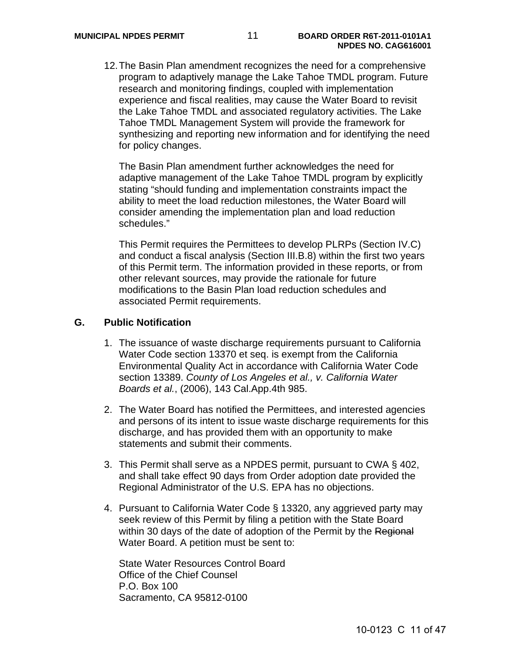12. The Basin Plan amendment recognizes the need for a comprehensive program to adaptively manage the Lake Tahoe TMDL program. Future research and monitoring findings, coupled with implementation experience and fiscal realities, may cause the Water Board to revisit the Lake Tahoe TMDL and associated regulatory activities. The Lake Tahoe TMDL Management System will provide the framework for synthesizing and reporting new information and for identifying the need for policy changes.

The Basin Plan amendment further acknowledges the need for adaptive management of the Lake Tahoe TMDL program by explicitly stating "should funding and implementation constraints impact the ability to meet the load reduction milestones, the Water Board will consider amending the implementation plan and load reduction schedules."

This Permit requires the Permittees to develop PLRPs (Section IV.C) and conduct a fiscal analysis (Section III.B.8) within the first two years of this Permit term. The information provided in these reports, or from other relevant sources, may provide the rationale for future modifications to the Basin Plan load reduction schedules and associated Permit requirements.

#### **G. Public Notification**

- 1. The issuance of waste discharge requirements pursuant to California Water Code section 13370 et seq. is exempt from the California Environmental Quality Act in accordance with California Water Code section 13389. *County of Los Angeles et al., v. California Water Boards et al.*, (2006), 143 Cal.App.4th 985.
- 2. The Water Board has notified the Permittees, and interested agencies and persons of its intent to issue waste discharge requirements for this discharge, and has provided them with an opportunity to make statements and submit their comments.
- 3. This Permit shall serve as a NPDES permit, pursuant to CWA § 402, and shall take effect 90 days from Order adoption date provided the Regional Administrator of the U.S. EPA has no objections.
- 4. Pursuant to California Water Code § 13320, any aggrieved party may seek review of this Permit by filing a petition with the State Board within 30 days of the date of adoption of the Permit by the Regional Water Board. A petition must be sent to:

State Water Resources Control Board Office of the Chief Counsel P.O. Box 100 Sacramento, CA 95812-0100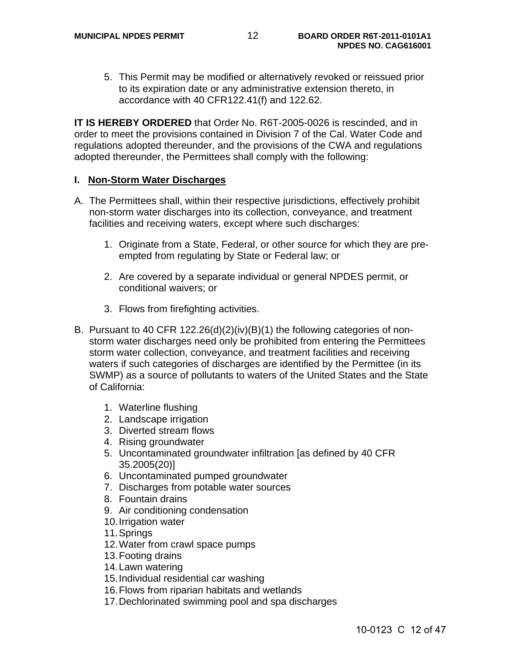5. This Permit may be modified or alternatively revoked or reissued prior to its expiration date or any administrative extension thereto, in accordance with 40 CFR122.41(f) and 122.62.

**IT IS HEREBY ORDERED** that Order No. R6T-2005-0026 is rescinded, and in order to meet the provisions contained in Division 7 of the Cal. Water Code and regulations adopted thereunder, and the provisions of the CWA and regulations adopted thereunder, the Permittees shall comply with the following:

#### **I. Non-Storm Water Discharges**

- A. The Permittees shall, within their respective jurisdictions, effectively prohibit non-storm water discharges into its collection, conveyance, and treatment facilities and receiving waters, except where such discharges:
	- 1. Originate from a State, Federal, or other source for which they are preempted from regulating by State or Federal law; or
	- 2. Are covered by a separate individual or general NPDES permit, or conditional waivers; or
	- 3. Flows from firefighting activities.
- B. Pursuant to 40 CFR 122.26(d)(2)(iv)(B)(1) the following categories of nonstorm water discharges need only be prohibited from entering the Permittees storm water collection, conveyance, and treatment facilities and receiving waters if such categories of discharges are identified by the Permittee (in its SWMP) as a source of pollutants to waters of the United States and the State of California:
	- 1. Waterline flushing
	- 2. Landscape irrigation
	- 3. Diverted stream flows
	- 4. Rising groundwater
	- 5. Uncontaminated groundwater infiltration [as defined by 40 CFR 35.2005(20)]
	- 6. Uncontaminated pumped groundwater
	- 7. Discharges from potable water sources
	- 8. Fountain drains
	- 9. Air conditioning condensation
	- 10. Irrigation water
	- 11. Springs
	- 12. Water from crawl space pumps
	- 13. Footing drains
	- 14. Lawn watering
	- 15. Individual residential car washing
	- 16. Flows from riparian habitats and wetlands
	- 17. Dechlorinated swimming pool and spa discharges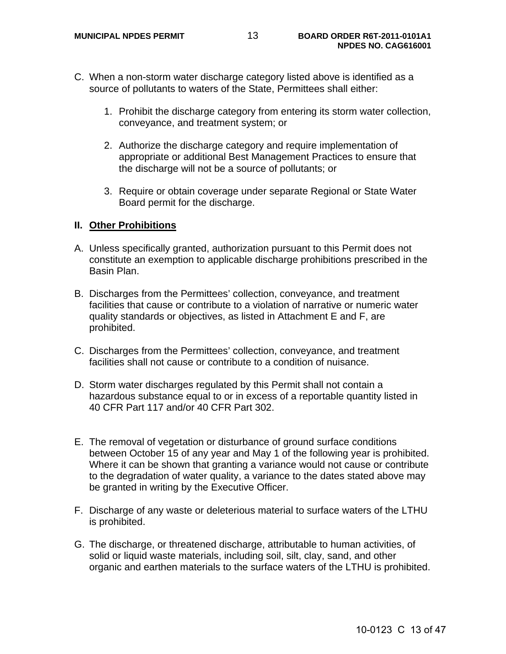- C. When a non-storm water discharge category listed above is identified as a source of pollutants to waters of the State, Permittees shall either:
	- 1. Prohibit the discharge category from entering its storm water collection, conveyance, and treatment system; or
	- 2. Authorize the discharge category and require implementation of appropriate or additional Best Management Practices to ensure that the discharge will not be a source of pollutants; or
	- 3. Require or obtain coverage under separate Regional or State Water Board permit for the discharge.

## **II. Other Prohibitions**

- A. Unless specifically granted, authorization pursuant to this Permit does not constitute an exemption to applicable discharge prohibitions prescribed in the Basin Plan.
- B. Discharges from the Permittees' collection, conveyance, and treatment facilities that cause or contribute to a violation of narrative or numeric water quality standards or objectives, as listed in Attachment E and F, are prohibited.
- C. Discharges from the Permittees' collection, conveyance, and treatment facilities shall not cause or contribute to a condition of nuisance.
- D. Storm water discharges regulated by this Permit shall not contain a hazardous substance equal to or in excess of a reportable quantity listed in 40 CFR Part 117 and/or 40 CFR Part 302.
- E. The removal of vegetation or disturbance of ground surface conditions between October 15 of any year and May 1 of the following year is prohibited. Where it can be shown that granting a variance would not cause or contribute to the degradation of water quality, a variance to the dates stated above may be granted in writing by the Executive Officer.
- F. Discharge of any waste or deleterious material to surface waters of the LTHU is prohibited.
- G. The discharge, or threatened discharge, attributable to human activities, of solid or liquid waste materials, including soil, silt, clay, sand, and other organic and earthen materials to the surface waters of the LTHU is prohibited.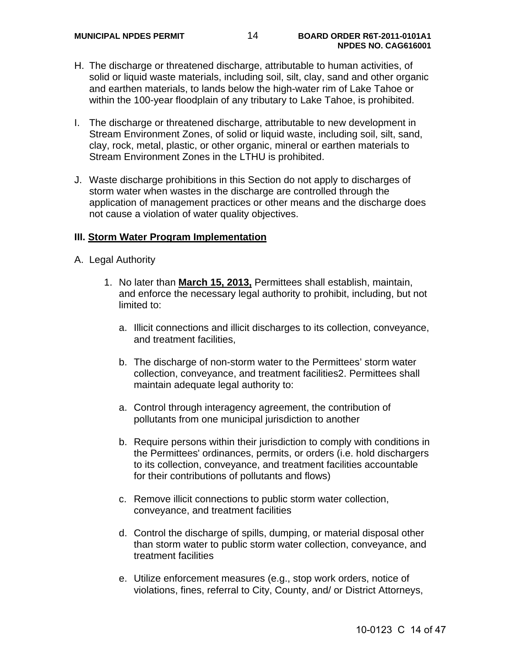- H. The discharge or threatened discharge, attributable to human activities, of solid or liquid waste materials, including soil, silt, clay, sand and other organic and earthen materials, to lands below the high-water rim of Lake Tahoe or within the 100-year floodplain of any tributary to Lake Tahoe, is prohibited.
- I. The discharge or threatened discharge, attributable to new development in Stream Environment Zones, of solid or liquid waste, including soil, silt, sand, clay, rock, metal, plastic, or other organic, mineral or earthen materials to Stream Environment Zones in the LTHU is prohibited.
- J. Waste discharge prohibitions in this Section do not apply to discharges of storm water when wastes in the discharge are controlled through the application of management practices or other means and the discharge does not cause a violation of water quality objectives.

#### **III. Storm Water Program Implementation**

- A. Legal Authority
	- 1. No later than **March 15, 2013,** Permittees shall establish, maintain, and enforce the necessary legal authority to prohibit, including, but not limited to:
		- a. Illicit connections and illicit discharges to its collection, conveyance, and treatment facilities,
		- b. The discharge of non-storm water to the Permittees' storm water collection, conveyance, and treatment facilities2. Permittees shall maintain adequate legal authority to:
		- a. Control through interagency agreement, the contribution of pollutants from one municipal jurisdiction to another
		- b. Require persons within their jurisdiction to comply with conditions in the Permittees' ordinances, permits, or orders (i.e. hold dischargers to its collection, conveyance, and treatment facilities accountable for their contributions of pollutants and flows)
		- c. Remove illicit connections to public storm water collection, conveyance, and treatment facilities
		- d. Control the discharge of spills, dumping, or material disposal other than storm water to public storm water collection, conveyance, and treatment facilities
		- e. Utilize enforcement measures (e.g., stop work orders, notice of violations, fines, referral to City, County, and/ or District Attorneys,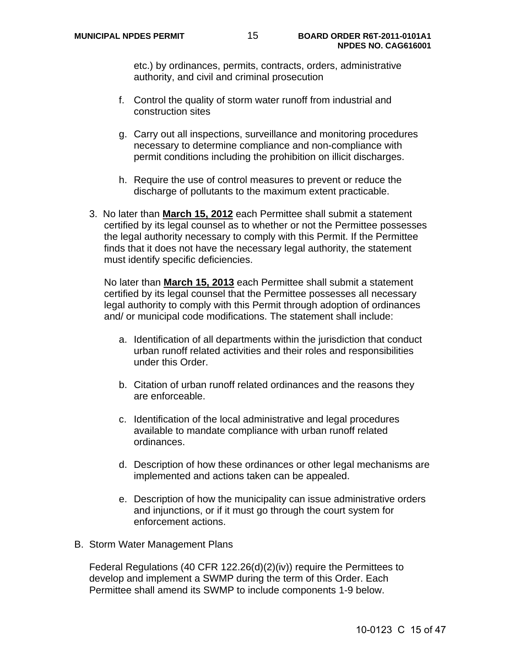etc.) by ordinances, permits, contracts, orders, administrative authority, and civil and criminal prosecution

- f. Control the quality of storm water runoff from industrial and construction sites
- g. Carry out all inspections, surveillance and monitoring procedures necessary to determine compliance and non-compliance with permit conditions including the prohibition on illicit discharges.
- h. Require the use of control measures to prevent or reduce the discharge of pollutants to the maximum extent practicable.
- 3. No later than **March 15, 2012** each Permittee shall submit a statement certified by its legal counsel as to whether or not the Permittee possesses the legal authority necessary to comply with this Permit. If the Permittee finds that it does not have the necessary legal authority, the statement must identify specific deficiencies.

 No later than **March 15, 2013** each Permittee shall submit a statement certified by its legal counsel that the Permittee possesses all necessary legal authority to comply with this Permit through adoption of ordinances and/ or municipal code modifications. The statement shall include:

- a. Identification of all departments within the jurisdiction that conduct urban runoff related activities and their roles and responsibilities under this Order.
- b. Citation of urban runoff related ordinances and the reasons they are enforceable.
- c. Identification of the local administrative and legal procedures available to mandate compliance with urban runoff related ordinances.
- d. Description of how these ordinances or other legal mechanisms are implemented and actions taken can be appealed.
- e. Description of how the municipality can issue administrative orders and injunctions, or if it must go through the court system for enforcement actions.
- B. Storm Water Management Plans

Federal Regulations (40 CFR 122.26(d)(2)(iv)) require the Permittees to develop and implement a SWMP during the term of this Order. Each Permittee shall amend its SWMP to include components 1-9 below.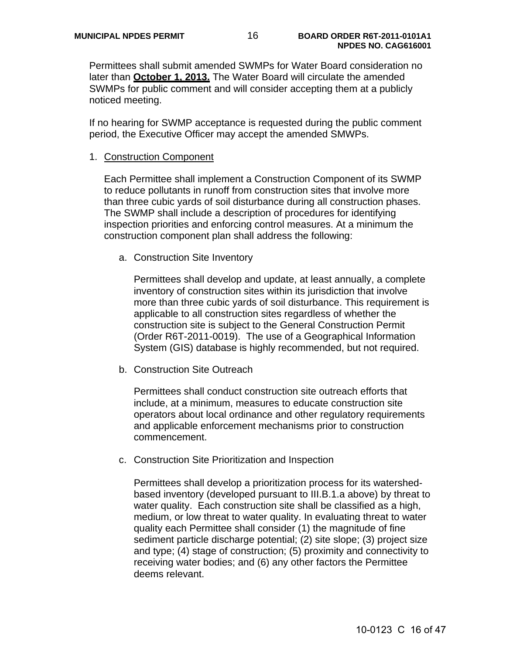Permittees shall submit amended SWMPs for Water Board consideration no later than **October 1, 2013.** The Water Board will circulate the amended SWMPs for public comment and will consider accepting them at a publicly noticed meeting.

If no hearing for SWMP acceptance is requested during the public comment period, the Executive Officer may accept the amended SMWPs.

#### 1. Construction Component

Each Permittee shall implement a Construction Component of its SWMP to reduce pollutants in runoff from construction sites that involve more than three cubic yards of soil disturbance during all construction phases. The SWMP shall include a description of procedures for identifying inspection priorities and enforcing control measures. At a minimum the construction component plan shall address the following:

a. Construction Site Inventory

Permittees shall develop and update, at least annually, a complete inventory of construction sites within its jurisdiction that involve more than three cubic yards of soil disturbance. This requirement is applicable to all construction sites regardless of whether the construction site is subject to the General Construction Permit (Order R6T-2011-0019). The use of a Geographical Information System (GIS) database is highly recommended, but not required.

b. Construction Site Outreach

Permittees shall conduct construction site outreach efforts that include, at a minimum, measures to educate construction site operators about local ordinance and other regulatory requirements and applicable enforcement mechanisms prior to construction commencement.

c. Construction Site Prioritization and Inspection

Permittees shall develop a prioritization process for its watershedbased inventory (developed pursuant to III.B.1.a above) by threat to water quality. Each construction site shall be classified as a high, medium, or low threat to water quality. In evaluating threat to water quality each Permittee shall consider (1) the magnitude of fine sediment particle discharge potential; (2) site slope; (3) project size and type; (4) stage of construction; (5) proximity and connectivity to receiving water bodies; and (6) any other factors the Permittee deems relevant.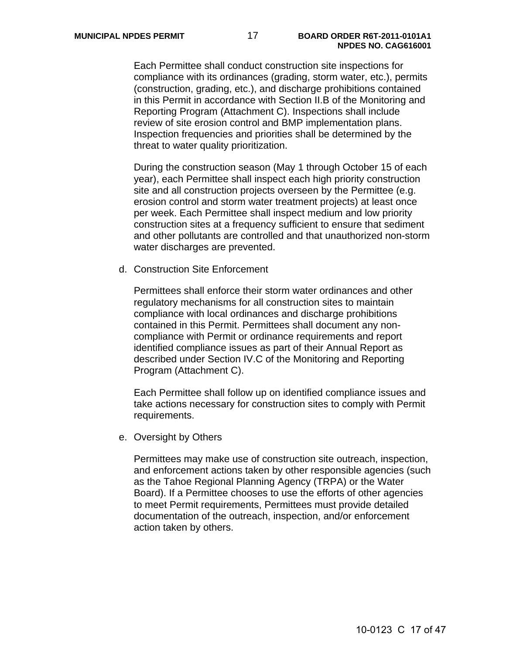Each Permittee shall conduct construction site inspections for compliance with its ordinances (grading, storm water, etc.), permits (construction, grading, etc.), and discharge prohibitions contained in this Permit in accordance with Section II.B of the Monitoring and Reporting Program (Attachment C). Inspections shall include review of site erosion control and BMP implementation plans. Inspection frequencies and priorities shall be determined by the threat to water quality prioritization.

During the construction season (May 1 through October 15 of each year), each Permittee shall inspect each high priority construction site and all construction projects overseen by the Permittee (e.g. erosion control and storm water treatment projects) at least once per week. Each Permittee shall inspect medium and low priority construction sites at a frequency sufficient to ensure that sediment and other pollutants are controlled and that unauthorized non-storm water discharges are prevented.

d. Construction Site Enforcement

Permittees shall enforce their storm water ordinances and other regulatory mechanisms for all construction sites to maintain compliance with local ordinances and discharge prohibitions contained in this Permit. Permittees shall document any noncompliance with Permit or ordinance requirements and report identified compliance issues as part of their Annual Report as described under Section IV.C of the Monitoring and Reporting Program (Attachment C).

Each Permittee shall follow up on identified compliance issues and take actions necessary for construction sites to comply with Permit requirements.

e. Oversight by Others

Permittees may make use of construction site outreach, inspection, and enforcement actions taken by other responsible agencies (such as the Tahoe Regional Planning Agency (TRPA) or the Water Board). If a Permittee chooses to use the efforts of other agencies to meet Permit requirements, Permittees must provide detailed documentation of the outreach, inspection, and/or enforcement action taken by others.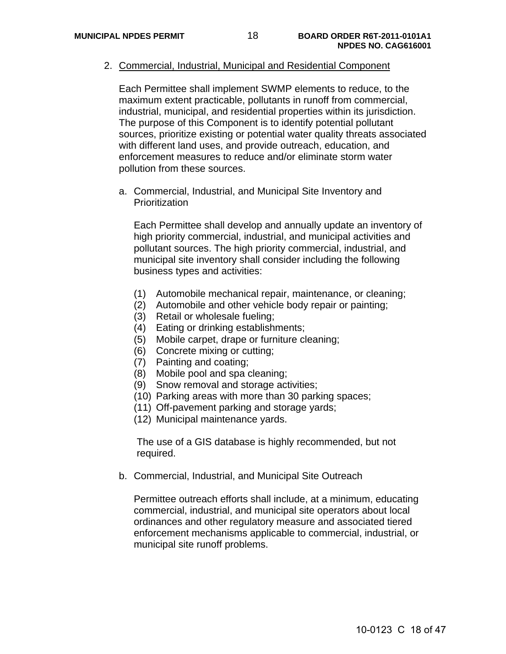2. Commercial, Industrial, Municipal and Residential Component

Each Permittee shall implement SWMP elements to reduce, to the maximum extent practicable, pollutants in runoff from commercial, industrial, municipal, and residential properties within its jurisdiction. The purpose of this Component is to identify potential pollutant sources, prioritize existing or potential water quality threats associated with different land uses, and provide outreach, education, and enforcement measures to reduce and/or eliminate storm water pollution from these sources.

a. Commercial, Industrial, and Municipal Site Inventory and **Prioritization** 

Each Permittee shall develop and annually update an inventory of high priority commercial, industrial, and municipal activities and pollutant sources. The high priority commercial, industrial, and municipal site inventory shall consider including the following business types and activities:

- (1) Automobile mechanical repair, maintenance, or cleaning;
- (2) Automobile and other vehicle body repair or painting;
- (3) Retail or wholesale fueling;
- (4) Eating or drinking establishments;
- (5) Mobile carpet, drape or furniture cleaning;
- (6) Concrete mixing or cutting;
- (7) Painting and coating;
- (8) Mobile pool and spa cleaning;
- (9) Snow removal and storage activities;
- (10) Parking areas with more than 30 parking spaces;
- (11) Off-pavement parking and storage yards;
- (12) Municipal maintenance yards.

The use of a GIS database is highly recommended, but not required.

b. Commercial, Industrial, and Municipal Site Outreach

Permittee outreach efforts shall include, at a minimum, educating commercial, industrial, and municipal site operators about local ordinances and other regulatory measure and associated tiered enforcement mechanisms applicable to commercial, industrial, or municipal site runoff problems.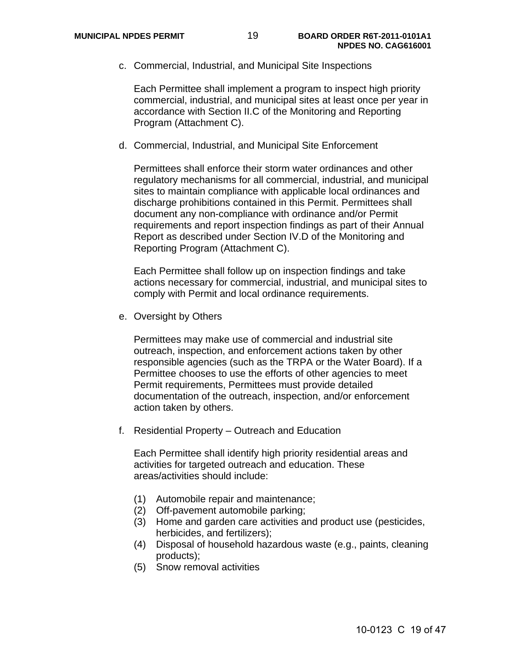c. Commercial, Industrial, and Municipal Site Inspections

Each Permittee shall implement a program to inspect high priority commercial, industrial, and municipal sites at least once per year in accordance with Section II.C of the Monitoring and Reporting Program (Attachment C).

d. Commercial, Industrial, and Municipal Site Enforcement

Permittees shall enforce their storm water ordinances and other regulatory mechanisms for all commercial, industrial, and municipal sites to maintain compliance with applicable local ordinances and discharge prohibitions contained in this Permit. Permittees shall document any non-compliance with ordinance and/or Permit requirements and report inspection findings as part of their Annual Report as described under Section IV.D of the Monitoring and Reporting Program (Attachment C).

Each Permittee shall follow up on inspection findings and take actions necessary for commercial, industrial, and municipal sites to comply with Permit and local ordinance requirements.

e. Oversight by Others

Permittees may make use of commercial and industrial site outreach, inspection, and enforcement actions taken by other responsible agencies (such as the TRPA or the Water Board). If a Permittee chooses to use the efforts of other agencies to meet Permit requirements, Permittees must provide detailed documentation of the outreach, inspection, and/or enforcement action taken by others.

f. Residential Property – Outreach and Education

Each Permittee shall identify high priority residential areas and activities for targeted outreach and education. These areas/activities should include:

- (1) Automobile repair and maintenance;
- (2) Off-pavement automobile parking;
- (3) Home and garden care activities and product use (pesticides, herbicides, and fertilizers);
- (4) Disposal of household hazardous waste (e.g., paints, cleaning products);
- (5) Snow removal activities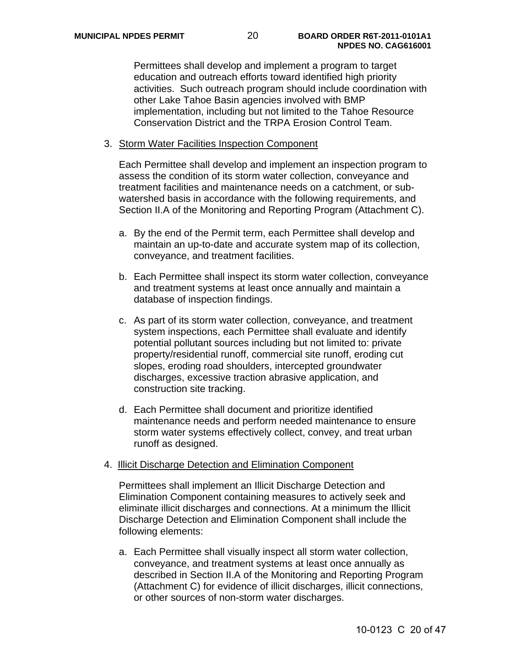Permittees shall develop and implement a program to target education and outreach efforts toward identified high priority activities. Such outreach program should include coordination with other Lake Tahoe Basin agencies involved with BMP implementation, including but not limited to the Tahoe Resource Conservation District and the TRPA Erosion Control Team.

#### 3. Storm Water Facilities Inspection Component

Each Permittee shall develop and implement an inspection program to assess the condition of its storm water collection, conveyance and treatment facilities and maintenance needs on a catchment, or subwatershed basis in accordance with the following requirements, and Section II.A of the Monitoring and Reporting Program (Attachment C).

- a. By the end of the Permit term, each Permittee shall develop and maintain an up-to-date and accurate system map of its collection, conveyance, and treatment facilities.
- b. Each Permittee shall inspect its storm water collection, conveyance and treatment systems at least once annually and maintain a database of inspection findings.
- c. As part of its storm water collection, conveyance, and treatment system inspections, each Permittee shall evaluate and identify potential pollutant sources including but not limited to: private property/residential runoff, commercial site runoff, eroding cut slopes, eroding road shoulders, intercepted groundwater discharges, excessive traction abrasive application, and construction site tracking.
- d. Each Permittee shall document and prioritize identified maintenance needs and perform needed maintenance to ensure storm water systems effectively collect, convey, and treat urban runoff as designed.

#### 4. Illicit Discharge Detection and Elimination Component

Permittees shall implement an Illicit Discharge Detection and Elimination Component containing measures to actively seek and eliminate illicit discharges and connections. At a minimum the Illicit Discharge Detection and Elimination Component shall include the following elements:

a. Each Permittee shall visually inspect all storm water collection, conveyance, and treatment systems at least once annually as described in Section II.A of the Monitoring and Reporting Program (Attachment C) for evidence of illicit discharges, illicit connections, or other sources of non-storm water discharges.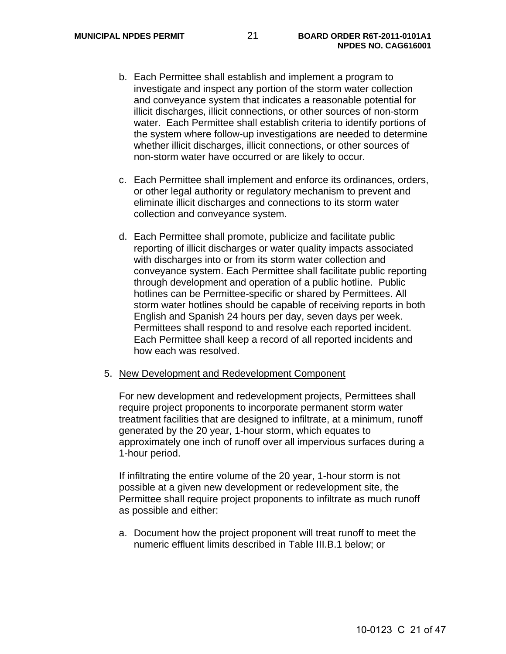- b. Each Permittee shall establish and implement a program to investigate and inspect any portion of the storm water collection and conveyance system that indicates a reasonable potential for illicit discharges, illicit connections, or other sources of non-storm water. Each Permittee shall establish criteria to identify portions of the system where follow-up investigations are needed to determine whether illicit discharges, illicit connections, or other sources of non-storm water have occurred or are likely to occur.
- c. Each Permittee shall implement and enforce its ordinances, orders, or other legal authority or regulatory mechanism to prevent and eliminate illicit discharges and connections to its storm water collection and conveyance system.
- d. Each Permittee shall promote, publicize and facilitate public reporting of illicit discharges or water quality impacts associated with discharges into or from its storm water collection and conveyance system. Each Permittee shall facilitate public reporting through development and operation of a public hotline. Public hotlines can be Permittee-specific or shared by Permittees. All storm water hotlines should be capable of receiving reports in both English and Spanish 24 hours per day, seven days per week. Permittees shall respond to and resolve each reported incident. Each Permittee shall keep a record of all reported incidents and how each was resolved.

#### 5. New Development and Redevelopment Component

For new development and redevelopment projects, Permittees shall require project proponents to incorporate permanent storm water treatment facilities that are designed to infiltrate, at a minimum, runoff generated by the 20 year, 1-hour storm, which equates to approximately one inch of runoff over all impervious surfaces during a 1-hour period.

If infiltrating the entire volume of the 20 year, 1-hour storm is not possible at a given new development or redevelopment site, the Permittee shall require project proponents to infiltrate as much runoff as possible and either:

a. Document how the project proponent will treat runoff to meet the numeric effluent limits described in Table III.B.1 below; or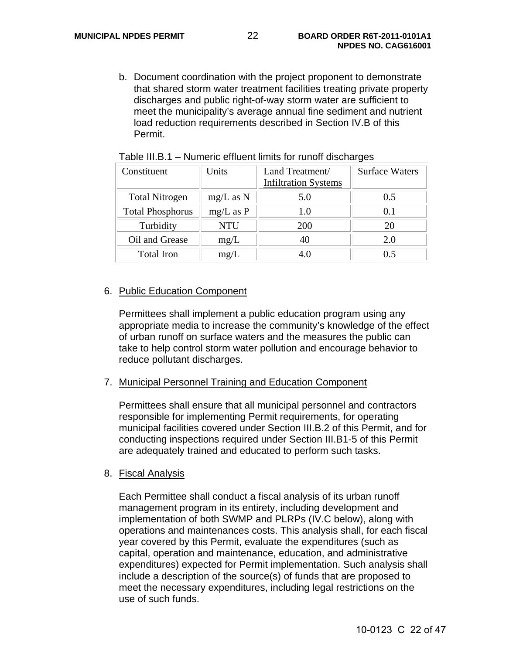b. Document coordination with the project proponent to demonstrate that shared storm water treatment facilities treating private property discharges and public right-of-way storm water are sufficient to meet the municipality's average annual fine sediment and nutrient load reduction requirements described in Section IV.B of this Permit.

| Constituent             | Units         | Land Treatment/<br><b>Infiltration Systems</b> | <b>Surface Waters</b> |
|-------------------------|---------------|------------------------------------------------|-----------------------|
| <b>Total Nitrogen</b>   | $mg/L$ as N   | 5.0                                            | 0.5                   |
| <b>Total Phosphorus</b> | $mg/L$ as $P$ | 1.0                                            | 0.1                   |
| Turbidity               | <b>NTU</b>    | <b>200</b>                                     |                       |
| Oil and Grease          | mg/L          |                                                | 2.0                   |
| <b>Total Iron</b>       | mg/L          |                                                |                       |

Table III.B.1 – Numeric effluent limits for runoff discharges

#### 6. Public Education Component

Permittees shall implement a public education program using any appropriate media to increase the community's knowledge of the effect of urban runoff on surface waters and the measures the public can take to help control storm water pollution and encourage behavior to reduce pollutant discharges.

#### 7. Municipal Personnel Training and Education Component

Permittees shall ensure that all municipal personnel and contractors responsible for implementing Permit requirements, for operating municipal facilities covered under Section III.B.2 of this Permit, and for conducting inspections required under Section III.B1-5 of this Permit are adequately trained and educated to perform such tasks.

#### 8. Fiscal Analysis

Each Permittee shall conduct a fiscal analysis of its urban runoff management program in its entirety, including development and implementation of both SWMP and PLRPs (IV.C below), along with operations and maintenances costs. This analysis shall, for each fiscal year covered by this Permit, evaluate the expenditures (such as capital, operation and maintenance, education, and administrative expenditures) expected for Permit implementation. Such analysis shall include a description of the source(s) of funds that are proposed to meet the necessary expenditures, including legal restrictions on the use of such funds.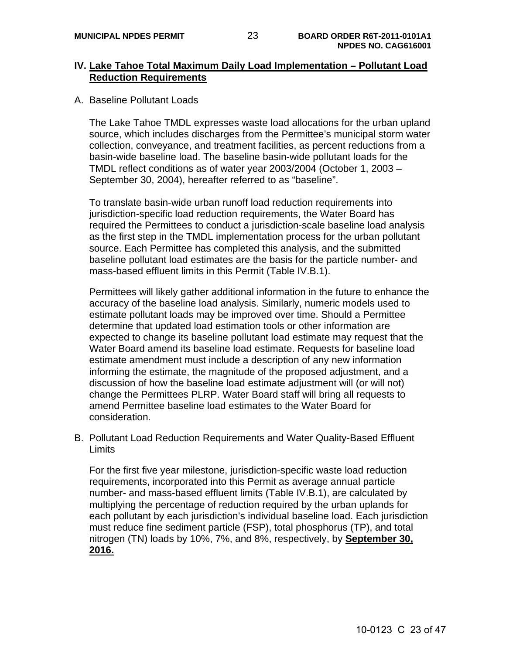## **IV. Lake Tahoe Total Maximum Daily Load Implementation – Pollutant Load Reduction Requirements**

A. Baseline Pollutant Loads

The Lake Tahoe TMDL expresses waste load allocations for the urban upland source, which includes discharges from the Permittee's municipal storm water collection, conveyance, and treatment facilities, as percent reductions from a basin-wide baseline load. The baseline basin-wide pollutant loads for the TMDL reflect conditions as of water year 2003/2004 (October 1, 2003 – September 30, 2004), hereafter referred to as "baseline".

To translate basin-wide urban runoff load reduction requirements into jurisdiction-specific load reduction requirements, the Water Board has required the Permittees to conduct a jurisdiction-scale baseline load analysis as the first step in the TMDL implementation process for the urban pollutant source. Each Permittee has completed this analysis, and the submitted baseline pollutant load estimates are the basis for the particle number- and mass-based effluent limits in this Permit (Table IV.B.1).

Permittees will likely gather additional information in the future to enhance the accuracy of the baseline load analysis. Similarly, numeric models used to estimate pollutant loads may be improved over time. Should a Permittee determine that updated load estimation tools or other information are expected to change its baseline pollutant load estimate may request that the Water Board amend its baseline load estimate. Requests for baseline load estimate amendment must include a description of any new information informing the estimate, the magnitude of the proposed adjustment, and a discussion of how the baseline load estimate adjustment will (or will not) change the Permittees PLRP. Water Board staff will bring all requests to amend Permittee baseline load estimates to the Water Board for consideration.

B. Pollutant Load Reduction Requirements and Water Quality-Based Effluent Limits

For the first five year milestone, jurisdiction-specific waste load reduction requirements, incorporated into this Permit as average annual particle number- and mass-based effluent limits (Table IV.B.1), are calculated by multiplying the percentage of reduction required by the urban uplands for each pollutant by each jurisdiction's individual baseline load. Each jurisdiction must reduce fine sediment particle (FSP), total phosphorus (TP), and total nitrogen (TN) loads by 10%, 7%, and 8%, respectively, by **September 30, 2016.**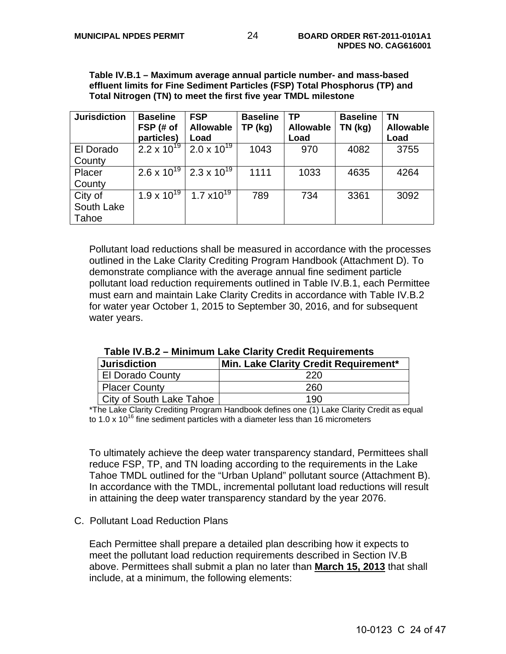**Table IV.B.1 – Maximum average annual particle number- and mass-based effluent limits for Fine Sediment Particles (FSP) Total Phosphorus (TP) and Total Nitrogen (TN) to meet the first five year TMDL milestone** 

| <b>Jurisdiction</b> | <b>Baseline</b>      | <b>FSP</b>       | <b>Baseline</b> | <b>TP</b>        | <b>Baseline</b> | <b>TN</b>        |
|---------------------|----------------------|------------------|-----------------|------------------|-----------------|------------------|
|                     | FSP (# of            | <b>Allowable</b> | TP (kg)         | <b>Allowable</b> | TN (kg)         | <b>Allowable</b> |
|                     | particles)           | Load             |                 | Load             |                 | Load             |
| El Dorado           | $2.2 \times 10^{19}$ | 2.0 x $10^{19}$  | 1043            | 970              | 4082            | 3755             |
| County              |                      |                  |                 |                  |                 |                  |
| Placer              | $2.6 \times 10^{19}$ | 2.3 x $10^{19}$  | 1111            | 1033             | 4635            | 4264             |
| County              |                      |                  |                 |                  |                 |                  |
| City of             | $1.9 \times 10^{19}$ | 1.7 $x10^{19}$   | 789             | 734              | 3361            | 3092             |
| South Lake          |                      |                  |                 |                  |                 |                  |
| Tahoe               |                      |                  |                 |                  |                 |                  |

Pollutant load reductions shall be measured in accordance with the processes outlined in the Lake Clarity Crediting Program Handbook (Attachment D). To demonstrate compliance with the average annual fine sediment particle pollutant load reduction requirements outlined in Table IV.B.1, each Permittee must earn and maintain Lake Clarity Credits in accordance with Table IV.B.2 for water year October 1, 2015 to September 30, 2016, and for subsequent water years.

| <b>Jurisdiction</b>      | Min. Lake Clarity Credit Requirement* |
|--------------------------|---------------------------------------|
| <b>El Dorado County</b>  | 220                                   |
| <b>Placer County</b>     | 260                                   |
| City of South Lake Tahoe | 190                                   |

| Table IV.B.2 - Minimum Lake Clarity Credit Requirements |  |
|---------------------------------------------------------|--|
|---------------------------------------------------------|--|

\*The Lake Clarity Crediting Program Handbook defines one (1) Lake Clarity Credit as equal to 1.0 x 10<sup>16</sup> fine sediment particles with a diameter less than 16 micrometers

To ultimately achieve the deep water transparency standard, Permittees shall reduce FSP, TP, and TN loading according to the requirements in the Lake Tahoe TMDL outlined for the "Urban Upland" pollutant source (Attachment B). In accordance with the TMDL, incremental pollutant load reductions will result in attaining the deep water transparency standard by the year 2076.

#### C. Pollutant Load Reduction Plans

Each Permittee shall prepare a detailed plan describing how it expects to meet the pollutant load reduction requirements described in Section IV.B above. Permittees shall submit a plan no later than **March 15, 2013** that shall include, at a minimum, the following elements: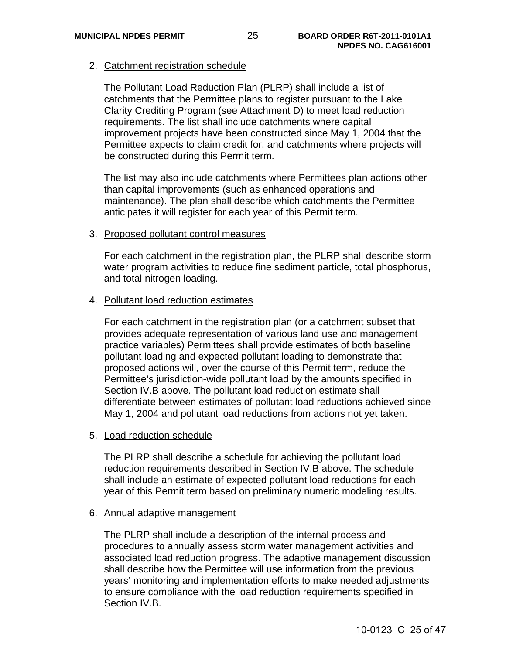## 2. Catchment registration schedule

The Pollutant Load Reduction Plan (PLRP) shall include a list of catchments that the Permittee plans to register pursuant to the Lake Clarity Crediting Program (see Attachment D) to meet load reduction requirements. The list shall include catchments where capital improvement projects have been constructed since May 1, 2004 that the Permittee expects to claim credit for, and catchments where projects will be constructed during this Permit term.

The list may also include catchments where Permittees plan actions other than capital improvements (such as enhanced operations and maintenance). The plan shall describe which catchments the Permittee anticipates it will register for each year of this Permit term.

#### 3. Proposed pollutant control measures

For each catchment in the registration plan, the PLRP shall describe storm water program activities to reduce fine sediment particle, total phosphorus, and total nitrogen loading.

#### 4. Pollutant load reduction estimates

For each catchment in the registration plan (or a catchment subset that provides adequate representation of various land use and management practice variables) Permittees shall provide estimates of both baseline pollutant loading and expected pollutant loading to demonstrate that proposed actions will, over the course of this Permit term, reduce the Permittee's jurisdiction-wide pollutant load by the amounts specified in Section IV.B above. The pollutant load reduction estimate shall differentiate between estimates of pollutant load reductions achieved since May 1, 2004 and pollutant load reductions from actions not yet taken.

#### 5. Load reduction schedule

The PLRP shall describe a schedule for achieving the pollutant load reduction requirements described in Section IV.B above. The schedule shall include an estimate of expected pollutant load reductions for each year of this Permit term based on preliminary numeric modeling results.

#### 6. Annual adaptive management

The PLRP shall include a description of the internal process and procedures to annually assess storm water management activities and associated load reduction progress. The adaptive management discussion shall describe how the Permittee will use information from the previous years' monitoring and implementation efforts to make needed adjustments to ensure compliance with the load reduction requirements specified in Section IV.B.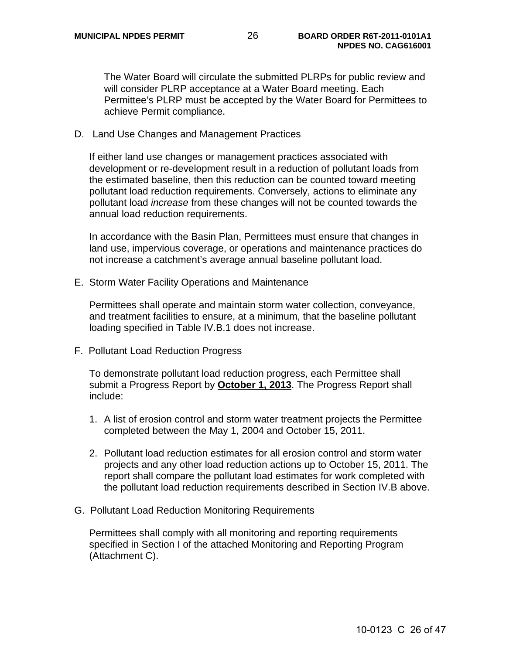The Water Board will circulate the submitted PLRPs for public review and will consider PLRP acceptance at a Water Board meeting. Each Permittee's PLRP must be accepted by the Water Board for Permittees to achieve Permit compliance.

D. Land Use Changes and Management Practices

If either land use changes or management practices associated with development or re-development result in a reduction of pollutant loads from the estimated baseline, then this reduction can be counted toward meeting pollutant load reduction requirements. Conversely, actions to eliminate any pollutant load *increase* from these changes will not be counted towards the annual load reduction requirements.

In accordance with the Basin Plan, Permittees must ensure that changes in land use, impervious coverage, or operations and maintenance practices do not increase a catchment's average annual baseline pollutant load.

E. Storm Water Facility Operations and Maintenance

 Permittees shall operate and maintain storm water collection, conveyance, and treatment facilities to ensure, at a minimum, that the baseline pollutant loading specified in Table IV.B.1 does not increase.

F. Pollutant Load Reduction Progress

 To demonstrate pollutant load reduction progress, each Permittee shall submit a Progress Report by **October 1, 2013**. The Progress Report shall include:

- 1. A list of erosion control and storm water treatment projects the Permittee completed between the May 1, 2004 and October 15, 2011.
- 2. Pollutant load reduction estimates for all erosion control and storm water projects and any other load reduction actions up to October 15, 2011. The report shall compare the pollutant load estimates for work completed with the pollutant load reduction requirements described in Section IV.B above.
- G. Pollutant Load Reduction Monitoring Requirements

 Permittees shall comply with all monitoring and reporting requirements specified in Section I of the attached Monitoring and Reporting Program (Attachment C).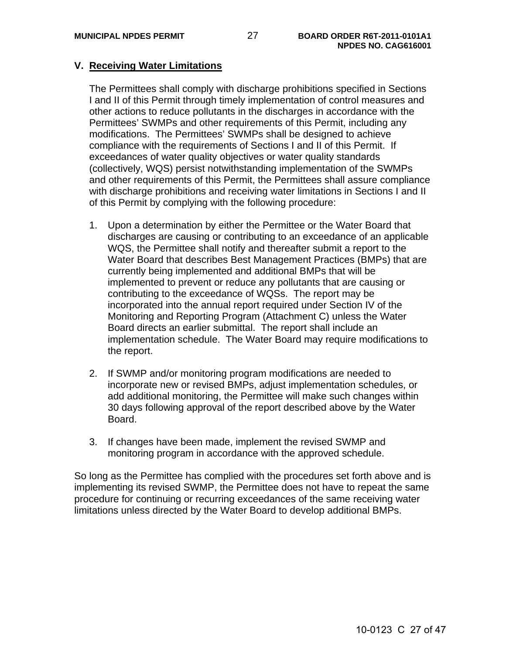## **V. Receiving Water Limitations**

The Permittees shall comply with discharge prohibitions specified in Sections I and II of this Permit through timely implementation of control measures and other actions to reduce pollutants in the discharges in accordance with the Permittees' SWMPs and other requirements of this Permit, including any modifications. The Permittees' SWMPs shall be designed to achieve compliance with the requirements of Sections I and II of this Permit. If exceedances of water quality objectives or water quality standards (collectively, WQS) persist notwithstanding implementation of the SWMPs and other requirements of this Permit, the Permittees shall assure compliance with discharge prohibitions and receiving water limitations in Sections I and II of this Permit by complying with the following procedure:

- 1. Upon a determination by either the Permittee or the Water Board that discharges are causing or contributing to an exceedance of an applicable WQS, the Permittee shall notify and thereafter submit a report to the Water Board that describes Best Management Practices (BMPs) that are currently being implemented and additional BMPs that will be implemented to prevent or reduce any pollutants that are causing or contributing to the exceedance of WQSs. The report may be incorporated into the annual report required under Section IV of the Monitoring and Reporting Program (Attachment C) unless the Water Board directs an earlier submittal. The report shall include an implementation schedule. The Water Board may require modifications to the report.
- 2. If SWMP and/or monitoring program modifications are needed to incorporate new or revised BMPs, adjust implementation schedules, or add additional monitoring, the Permittee will make such changes within 30 days following approval of the report described above by the Water Board.
- 3. If changes have been made, implement the revised SWMP and monitoring program in accordance with the approved schedule.

So long as the Permittee has complied with the procedures set forth above and is implementing its revised SWMP, the Permittee does not have to repeat the same procedure for continuing or recurring exceedances of the same receiving water limitations unless directed by the Water Board to develop additional BMPs.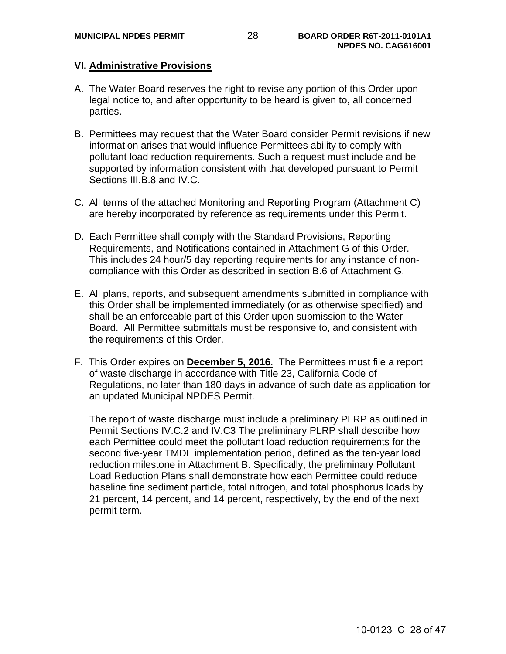## **VI. Administrative Provisions**

- A. The Water Board reserves the right to revise any portion of this Order upon legal notice to, and after opportunity to be heard is given to, all concerned parties.
- B. Permittees may request that the Water Board consider Permit revisions if new information arises that would influence Permittees ability to comply with pollutant load reduction requirements. Such a request must include and be supported by information consistent with that developed pursuant to Permit Sections III.B.8 and IV.C.
- C. All terms of the attached Monitoring and Reporting Program (Attachment C) are hereby incorporated by reference as requirements under this Permit.
- D. Each Permittee shall comply with the Standard Provisions, Reporting Requirements, and Notifications contained in Attachment G of this Order. This includes 24 hour/5 day reporting requirements for any instance of noncompliance with this Order as described in section B.6 of Attachment G.
- E. All plans, reports, and subsequent amendments submitted in compliance with this Order shall be implemented immediately (or as otherwise specified) and shall be an enforceable part of this Order upon submission to the Water Board. All Permittee submittals must be responsive to, and consistent with the requirements of this Order.
- F. This Order expires on **December 5, 2016**.The Permittees must file a report of waste discharge in accordance with Title 23, California Code of Regulations, no later than 180 days in advance of such date as application for an updated Municipal NPDES Permit.

The report of waste discharge must include a preliminary PLRP as outlined in Permit Sections IV.C.2 and IV.C3 The preliminary PLRP shall describe how each Permittee could meet the pollutant load reduction requirements for the second five-year TMDL implementation period, defined as the ten-year load reduction milestone in Attachment B. Specifically, the preliminary Pollutant Load Reduction Plans shall demonstrate how each Permittee could reduce baseline fine sediment particle, total nitrogen, and total phosphorus loads by 21 percent, 14 percent, and 14 percent, respectively, by the end of the next permit term.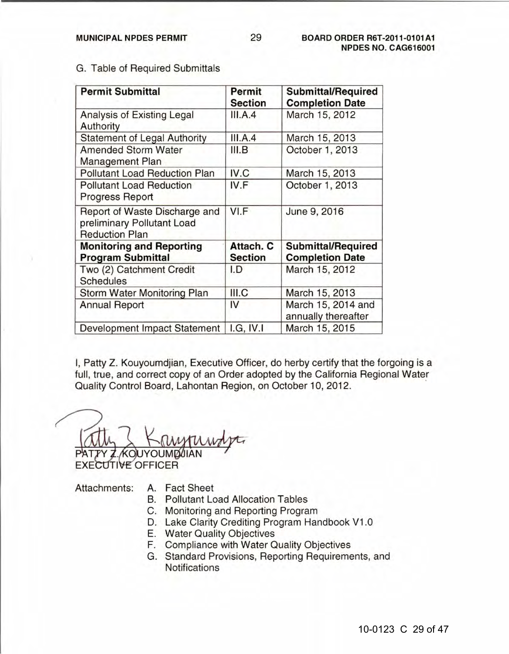| <b>Permit Submittal</b>                                                              | Permit<br><b>Section</b>    | <b>Submittal/Required</b><br><b>Completion Date</b> |  |
|--------------------------------------------------------------------------------------|-----------------------------|-----------------------------------------------------|--|
| Analysis of Existing Legal<br>Authority                                              | III.A.4                     | March 15, 2012                                      |  |
| <b>Statement of Legal Authority</b>                                                  | III.A.4                     | March 15, 2013                                      |  |
| <b>Amended Storm Water</b><br>Management Plan                                        | III.B                       | October 1, 2013                                     |  |
| <b>Pollutant Load Reduction Plan</b>                                                 | IV.C                        | March 15, 2013                                      |  |
| <b>Pollutant Load Reduction</b><br>Progress Report                                   | IV.F                        | October 1, 2013                                     |  |
| Report of Waste Discharge and<br>preliminary Pollutant Load<br><b>Reduction Plan</b> | VI.F                        | June 9, 2016                                        |  |
| <b>Monitoring and Reporting</b><br><b>Program Submittal</b>                          | Attach. C<br><b>Section</b> | <b>Submittal/Required</b><br><b>Completion Date</b> |  |
| Two (2) Catchment Credit<br><b>Schedules</b>                                         | I.D                         | March 15, 2012                                      |  |
| Storm Water Monitoring Plan                                                          | III.C                       | March 15, 2013                                      |  |
| <b>Annual Report</b>                                                                 | IV                          | March 15, 2014 and<br>annually thereafter           |  |
| Development Impact Statement                                                         | I.G. IV. I                  | March 15, 2015                                      |  |

G. Table of Required Submittals G. Table of Required Submittals

I, Patty Z. Kouyoumdjian, Executive Officer, do herby certify that the forgoing is a I, Patty Z. Kouyoumdjian, Executive Officer, do herby certify that the forgoing is a full, true, and correct copy of an Order adopted by the California Regional Water full, true, and correct copy of an Order adopted by the California Regional Water Quality Control Board, Lahontan Region, on October 10, 2012. Quality Control Board, Lahontan Region, on October 10, 2012. .

PATTY Z KOU AM SAM Guanty Control Board, Earlotten Region, on October 10, 20<br>
Turn 7 Kanggundy

Attachments: A. Fact Sheet Attachments: A. Fact Sheet

- B. Pollutant Load Allocation Tables B. Pollutant Load Allocation Tables
- C. Monitoring and Reporting Program C. Monitoring and Reporting Program
- D. Lake Clarity Crediting Program Handbook V1.0 D. Lake Clarity Crediting Program Handbook V1.0
- E. Water Quality Objectives E. Water Quality Objectives
- F. Compliance with Water Quality Objectives F. Compliance with Water Quality Objectives
- G. Standard Provisions, Reporting Requirements, and G. Standard Provisions, Reporting Requirements, and Notifications Notifications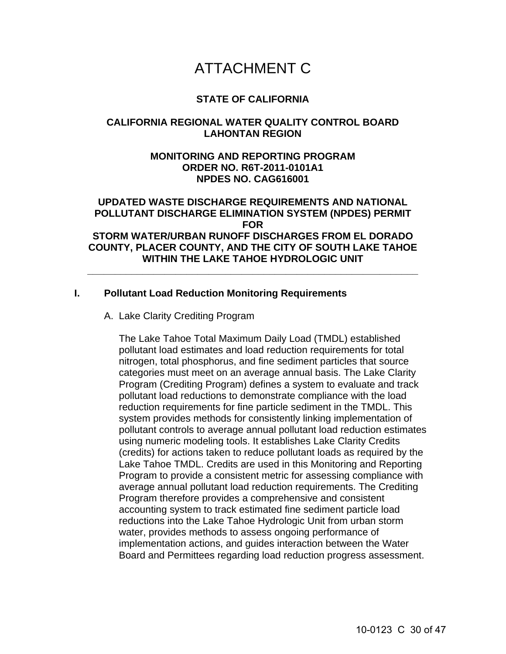# ATTACHMENT C

## **STATE OF CALIFORNIA**

## **CALIFORNIA REGIONAL WATER QUALITY CONTROL BOARD LAHONTAN REGION**

## **MONITORING AND REPORTING PROGRAM ORDER NO. R6T-2011-0101A1 NPDES NO. CAG616001**

## **UPDATED WASTE DISCHARGE REQUIREMENTS AND NATIONAL POLLUTANT DISCHARGE ELIMINATION SYSTEM (NPDES) PERMIT FOR STORM WATER/URBAN RUNOFF DISCHARGES FROM EL DORADO COUNTY, PLACER COUNTY, AND THE CITY OF SOUTH LAKE TAHOE WITHIN THE LAKE TAHOE HYDROLOGIC UNIT**

**\_\_\_\_\_\_\_\_\_\_\_\_\_\_\_\_\_\_\_\_\_\_\_\_\_\_\_\_\_\_\_\_\_\_\_\_\_\_\_\_\_\_\_\_\_\_\_\_\_\_\_\_\_\_\_\_\_\_\_\_** 

## **I. Pollutant Load Reduction Monitoring Requirements**

A. Lake Clarity Crediting Program

 The Lake Tahoe Total Maximum Daily Load (TMDL) established pollutant load estimates and load reduction requirements for total nitrogen, total phosphorus, and fine sediment particles that source categories must meet on an average annual basis. The Lake Clarity Program (Crediting Program) defines a system to evaluate and track pollutant load reductions to demonstrate compliance with the load reduction requirements for fine particle sediment in the TMDL. This system provides methods for consistently linking implementation of pollutant controls to average annual pollutant load reduction estimates using numeric modeling tools. It establishes Lake Clarity Credits (credits) for actions taken to reduce pollutant loads as required by the Lake Tahoe TMDL. Credits are used in this Monitoring and Reporting Program to provide a consistent metric for assessing compliance with average annual pollutant load reduction requirements. The Crediting Program therefore provides a comprehensive and consistent accounting system to track estimated fine sediment particle load reductions into the Lake Tahoe Hydrologic Unit from urban storm water, provides methods to assess ongoing performance of implementation actions, and guides interaction between the Water Board and Permittees regarding load reduction progress assessment.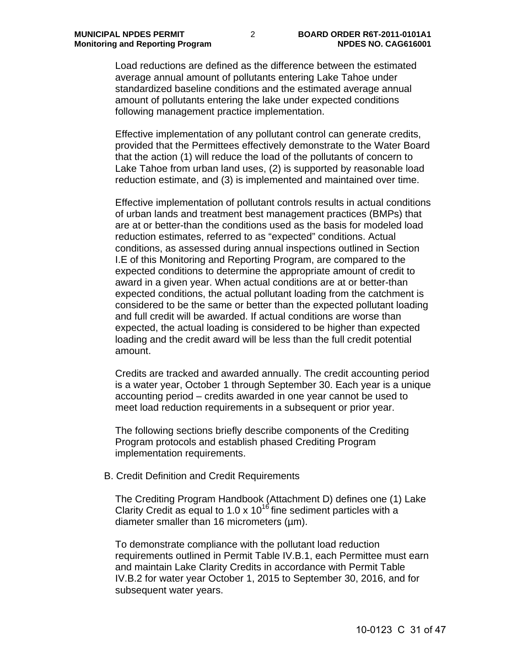Load reductions are defined as the difference between the estimated average annual amount of pollutants entering Lake Tahoe under standardized baseline conditions and the estimated average annual amount of pollutants entering the lake under expected conditions following management practice implementation.

Effective implementation of any pollutant control can generate credits, provided that the Permittees effectively demonstrate to the Water Board that the action (1) will reduce the load of the pollutants of concern to Lake Tahoe from urban land uses, (2) is supported by reasonable load reduction estimate, and (3) is implemented and maintained over time.

Effective implementation of pollutant controls results in actual conditions of urban lands and treatment best management practices (BMPs) that are at or better-than the conditions used as the basis for modeled load reduction estimates, referred to as "expected" conditions. Actual conditions, as assessed during annual inspections outlined in Section I.E of this Monitoring and Reporting Program, are compared to the expected conditions to determine the appropriate amount of credit to award in a given year. When actual conditions are at or better-than expected conditions, the actual pollutant loading from the catchment is considered to be the same or better than the expected pollutant loading and full credit will be awarded. If actual conditions are worse than expected, the actual loading is considered to be higher than expected loading and the credit award will be less than the full credit potential amount.

Credits are tracked and awarded annually. The credit accounting period is a water year, October 1 through September 30. Each year is a unique accounting period – credits awarded in one year cannot be used to meet load reduction requirements in a subsequent or prior year.

The following sections briefly describe components of the Crediting Program protocols and establish phased Crediting Program implementation requirements.

B. Credit Definition and Credit Requirements

The Crediting Program Handbook (Attachment D) defines one (1) Lake Clarity Credit as equal to 1.0 x  $10^{16}$  fine sediment particles with a diameter smaller than 16 micrometers ( $\mu$ m).

To demonstrate compliance with the pollutant load reduction requirements outlined in Permit Table IV.B.1, each Permittee must earn and maintain Lake Clarity Credits in accordance with Permit Table IV.B.2 for water year October 1, 2015 to September 30, 2016, and for subsequent water years.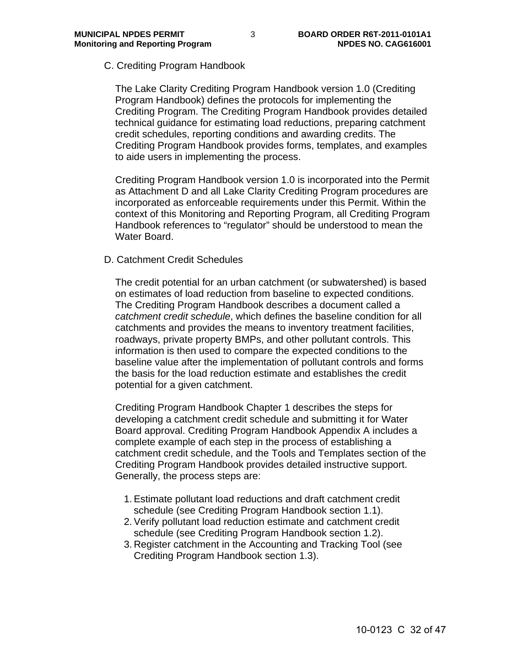C. Crediting Program Handbook

The Lake Clarity Crediting Program Handbook version 1.0 (Crediting Program Handbook) defines the protocols for implementing the Crediting Program. The Crediting Program Handbook provides detailed technical guidance for estimating load reductions, preparing catchment credit schedules, reporting conditions and awarding credits. The Crediting Program Handbook provides forms, templates, and examples to aide users in implementing the process.

Crediting Program Handbook version 1.0 is incorporated into the Permit as Attachment D and all Lake Clarity Crediting Program procedures are incorporated as enforceable requirements under this Permit. Within the context of this Monitoring and Reporting Program, all Crediting Program Handbook references to "regulator" should be understood to mean the Water Board.

#### D. Catchment Credit Schedules

The credit potential for an urban catchment (or subwatershed) is based on estimates of load reduction from baseline to expected conditions. The Crediting Program Handbook describes a document called a *catchment credit schedule*, which defines the baseline condition for all catchments and provides the means to inventory treatment facilities, roadways, private property BMPs, and other pollutant controls. This information is then used to compare the expected conditions to the baseline value after the implementation of pollutant controls and forms the basis for the load reduction estimate and establishes the credit potential for a given catchment.

Crediting Program Handbook Chapter 1 describes the steps for developing a catchment credit schedule and submitting it for Water Board approval. Crediting Program Handbook Appendix A includes a complete example of each step in the process of establishing a catchment credit schedule, and the Tools and Templates section of the Crediting Program Handbook provides detailed instructive support. Generally, the process steps are:

- 1. Estimate pollutant load reductions and draft catchment credit schedule (see Crediting Program Handbook section 1.1).
- 2. Verify pollutant load reduction estimate and catchment credit schedule (see Crediting Program Handbook section 1.2).
- 3. Register catchment in the Accounting and Tracking Tool (see Crediting Program Handbook section 1.3).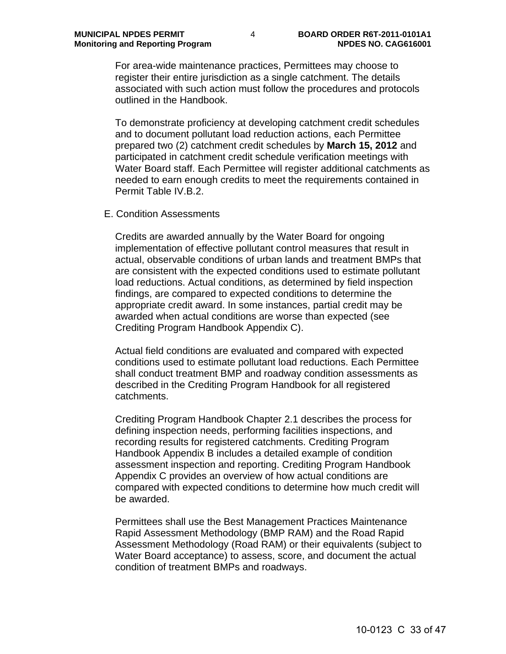For area-wide maintenance practices, Permittees may choose to register their entire jurisdiction as a single catchment. The details associated with such action must follow the procedures and protocols outlined in the Handbook.

To demonstrate proficiency at developing catchment credit schedules and to document pollutant load reduction actions, each Permittee prepared two (2) catchment credit schedules by **March 15, 2012** and participated in catchment credit schedule verification meetings with Water Board staff. Each Permittee will register additional catchments as needed to earn enough credits to meet the requirements contained in Permit Table IV.B.2.

E. Condition Assessments

Credits are awarded annually by the Water Board for ongoing implementation of effective pollutant control measures that result in actual, observable conditions of urban lands and treatment BMPs that are consistent with the expected conditions used to estimate pollutant load reductions. Actual conditions, as determined by field inspection findings, are compared to expected conditions to determine the appropriate credit award. In some instances, partial credit may be awarded when actual conditions are worse than expected (see Crediting Program Handbook Appendix C).

Actual field conditions are evaluated and compared with expected conditions used to estimate pollutant load reductions. Each Permittee shall conduct treatment BMP and roadway condition assessments as described in the Crediting Program Handbook for all registered catchments.

Crediting Program Handbook Chapter 2.1 describes the process for defining inspection needs, performing facilities inspections, and recording results for registered catchments. Crediting Program Handbook Appendix B includes a detailed example of condition assessment inspection and reporting. Crediting Program Handbook Appendix C provides an overview of how actual conditions are compared with expected conditions to determine how much credit will be awarded.

Permittees shall use the Best Management Practices Maintenance Rapid Assessment Methodology (BMP RAM) and the Road Rapid Assessment Methodology (Road RAM) or their equivalents (subject to Water Board acceptance) to assess, score, and document the actual condition of treatment BMPs and roadways.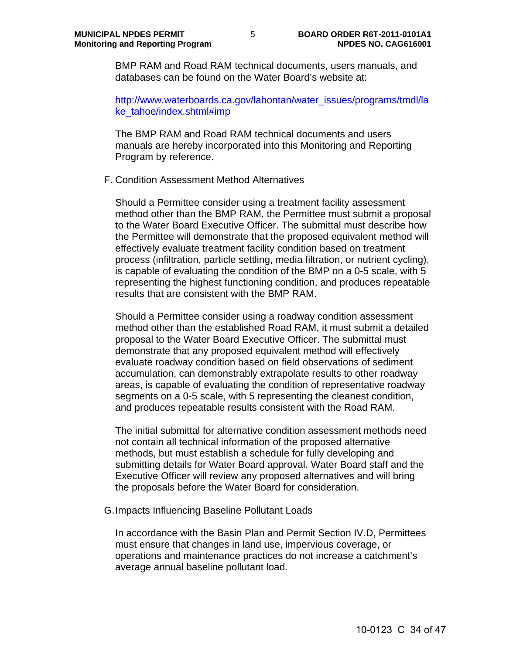BMP RAM and Road RAM technical documents, users manuals, and databases can be found on the Water Board's website at:

http://www.waterboards.ca.gov/lahontan/water\_issues/programs/tmdl/la ke\_tahoe/index.shtml#imp

The BMP RAM and Road RAM technical documents and users manuals are hereby incorporated into this Monitoring and Reporting Program by reference.

#### F. Condition Assessment Method Alternatives

Should a Permittee consider using a treatment facility assessment method other than the BMP RAM, the Permittee must submit a proposal to the Water Board Executive Officer. The submittal must describe how the Permittee will demonstrate that the proposed equivalent method will effectively evaluate treatment facility condition based on treatment process (infiltration, particle settling, media filtration, or nutrient cycling), is capable of evaluating the condition of the BMP on a 0-5 scale, with 5 representing the highest functioning condition, and produces repeatable results that are consistent with the BMP RAM.

Should a Permittee consider using a roadway condition assessment method other than the established Road RAM, it must submit a detailed proposal to the Water Board Executive Officer. The submittal must demonstrate that any proposed equivalent method will effectively evaluate roadway condition based on field observations of sediment accumulation, can demonstrably extrapolate results to other roadway areas, is capable of evaluating the condition of representative roadway segments on a 0-5 scale, with 5 representing the cleanest condition, and produces repeatable results consistent with the Road RAM.

The initial submittal for alternative condition assessment methods need not contain all technical information of the proposed alternative methods, but must establish a schedule for fully developing and submitting details for Water Board approval. Water Board staff and the Executive Officer will review any proposed alternatives and will bring the proposals before the Water Board for consideration.

G. Impacts Influencing Baseline Pollutant Loads

In accordance with the Basin Plan and Permit Section IV.D, Permittees must ensure that changes in land use, impervious coverage, or operations and maintenance practices do not increase a catchment's average annual baseline pollutant load.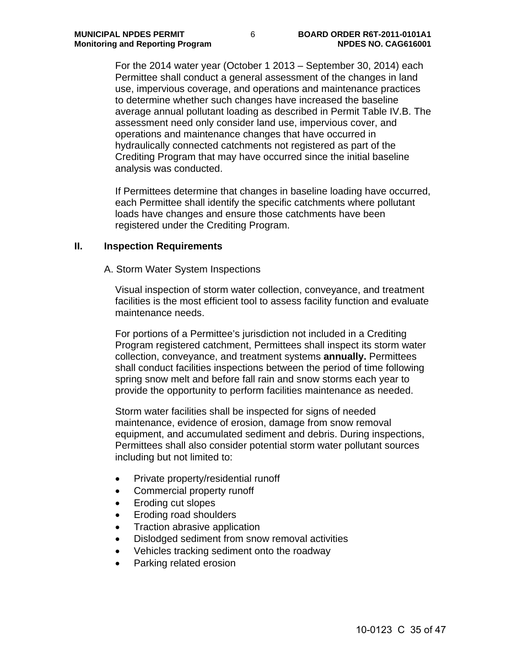For the 2014 water year (October 1 2013 – September 30, 2014) each Permittee shall conduct a general assessment of the changes in land use, impervious coverage, and operations and maintenance practices to determine whether such changes have increased the baseline average annual pollutant loading as described in Permit Table IV.B. The assessment need only consider land use, impervious cover, and operations and maintenance changes that have occurred in hydraulically connected catchments not registered as part of the Crediting Program that may have occurred since the initial baseline analysis was conducted.

If Permittees determine that changes in baseline loading have occurred, each Permittee shall identify the specific catchments where pollutant loads have changes and ensure those catchments have been registered under the Crediting Program.

#### **II. Inspection Requirements**

A. Storm Water System Inspections

Visual inspection of storm water collection, conveyance, and treatment facilities is the most efficient tool to assess facility function and evaluate maintenance needs.

For portions of a Permittee's jurisdiction not included in a Crediting Program registered catchment, Permittees shall inspect its storm water collection, conveyance, and treatment systems **annually.** Permittees shall conduct facilities inspections between the period of time following spring snow melt and before fall rain and snow storms each year to provide the opportunity to perform facilities maintenance as needed.

Storm water facilities shall be inspected for signs of needed maintenance, evidence of erosion, damage from snow removal equipment, and accumulated sediment and debris. During inspections, Permittees shall also consider potential storm water pollutant sources including but not limited to:

- Private property/residential runoff
- Commercial property runoff
- Eroding cut slopes
- Eroding road shoulders
- Traction abrasive application
- Dislodged sediment from snow removal activities
- Vehicles tracking sediment onto the roadway
- Parking related erosion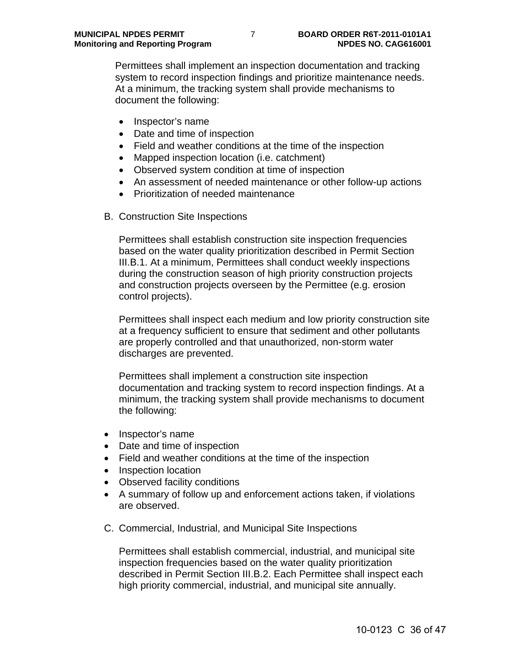Permittees shall implement an inspection documentation and tracking system to record inspection findings and prioritize maintenance needs. At a minimum, the tracking system shall provide mechanisms to document the following:

- Inspector's name
- Date and time of inspection
- Field and weather conditions at the time of the inspection
- Mapped inspection location (i.e. catchment)
- Observed system condition at time of inspection
- An assessment of needed maintenance or other follow-up actions
- Prioritization of needed maintenance
- B. Construction Site Inspections

Permittees shall establish construction site inspection frequencies based on the water quality prioritization described in Permit Section III.B.1. At a minimum, Permittees shall conduct weekly inspections during the construction season of high priority construction projects and construction projects overseen by the Permittee (e.g. erosion control projects).

Permittees shall inspect each medium and low priority construction site at a frequency sufficient to ensure that sediment and other pollutants are properly controlled and that unauthorized, non-storm water discharges are prevented.

Permittees shall implement a construction site inspection documentation and tracking system to record inspection findings. At a minimum, the tracking system shall provide mechanisms to document the following:

- Inspector's name
- Date and time of inspection
- Field and weather conditions at the time of the inspection
- Inspection location
- Observed facility conditions
- A summary of follow up and enforcement actions taken, if violations are observed.
- C. Commercial, Industrial, and Municipal Site Inspections

Permittees shall establish commercial, industrial, and municipal site inspection frequencies based on the water quality prioritization described in Permit Section III.B.2. Each Permittee shall inspect each high priority commercial, industrial, and municipal site annually.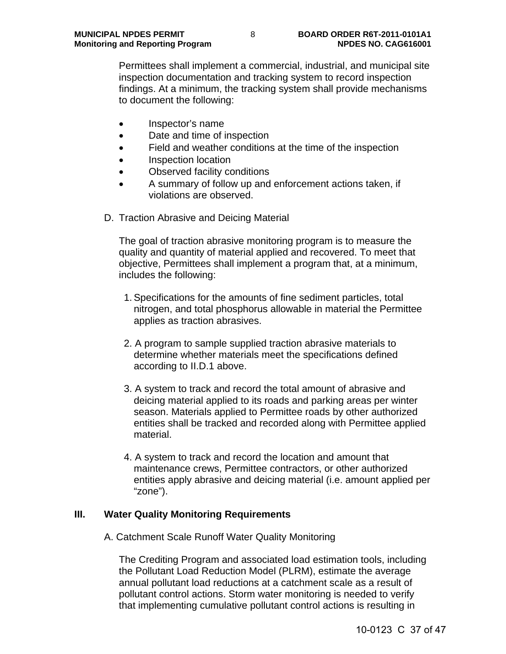Permittees shall implement a commercial, industrial, and municipal site inspection documentation and tracking system to record inspection findings. At a minimum, the tracking system shall provide mechanisms to document the following:

- Inspector's name
- Date and time of inspection
- Field and weather conditions at the time of the inspection
- Inspection location
- Observed facility conditions
- A summary of follow up and enforcement actions taken, if violations are observed.
- D. Traction Abrasive and Deicing Material

The goal of traction abrasive monitoring program is to measure the quality and quantity of material applied and recovered. To meet that objective, Permittees shall implement a program that, at a minimum, includes the following:

- 1. Specifications for the amounts of fine sediment particles, total nitrogen, and total phosphorus allowable in material the Permittee applies as traction abrasives.
- 2. A program to sample supplied traction abrasive materials to determine whether materials meet the specifications defined according to II.D.1 above.
- 3. A system to track and record the total amount of abrasive and deicing material applied to its roads and parking areas per winter season. Materials applied to Permittee roads by other authorized entities shall be tracked and recorded along with Permittee applied material.
- 4. A system to track and record the location and amount that maintenance crews, Permittee contractors, or other authorized entities apply abrasive and deicing material (i.e. amount applied per "zone").

# **III. Water Quality Monitoring Requirements**

A. Catchment Scale Runoff Water Quality Monitoring

The Crediting Program and associated load estimation tools, including the Pollutant Load Reduction Model (PLRM), estimate the average annual pollutant load reductions at a catchment scale as a result of pollutant control actions. Storm water monitoring is needed to verify that implementing cumulative pollutant control actions is resulting in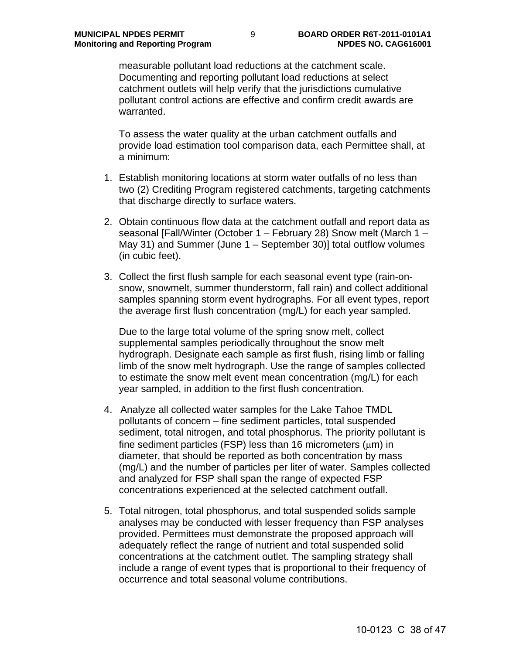measurable pollutant load reductions at the catchment scale. Documenting and reporting pollutant load reductions at select catchment outlets will help verify that the jurisdictions cumulative pollutant control actions are effective and confirm credit awards are warranted.

To assess the water quality at the urban catchment outfalls and provide load estimation tool comparison data, each Permittee shall, at a minimum:

- 1. Establish monitoring locations at storm water outfalls of no less than two (2) Crediting Program registered catchments, targeting catchments that discharge directly to surface waters.
- 2. Obtain continuous flow data at the catchment outfall and report data as seasonal [Fall/Winter (October 1 – February 28) Snow melt (March 1 – May 31) and Summer (June 1 – September 30)] total outflow volumes (in cubic feet).
- 3. Collect the first flush sample for each seasonal event type (rain-onsnow, snowmelt, summer thunderstorm, fall rain) and collect additional samples spanning storm event hydrographs. For all event types, report the average first flush concentration (mg/L) for each year sampled.

Due to the large total volume of the spring snow melt, collect supplemental samples periodically throughout the snow melt hydrograph. Designate each sample as first flush, rising limb or falling limb of the snow melt hydrograph. Use the range of samples collected to estimate the snow melt event mean concentration (mg/L) for each year sampled, in addition to the first flush concentration.

- 4. Analyze all collected water samples for the Lake Tahoe TMDL pollutants of concern – fine sediment particles, total suspended sediment, total nitrogen, and total phosphorus. The priority pollutant is fine sediment particles (FSP) less than 16 micrometers  $(\mu m)$  in diameter, that should be reported as both concentration by mass (mg/L) and the number of particles per liter of water. Samples collected and analyzed for FSP shall span the range of expected FSP concentrations experienced at the selected catchment outfall.
- 5. Total nitrogen, total phosphorus, and total suspended solids sample analyses may be conducted with lesser frequency than FSP analyses provided. Permittees must demonstrate the proposed approach will adequately reflect the range of nutrient and total suspended solid concentrations at the catchment outlet. The sampling strategy shall include a range of event types that is proportional to their frequency of occurrence and total seasonal volume contributions.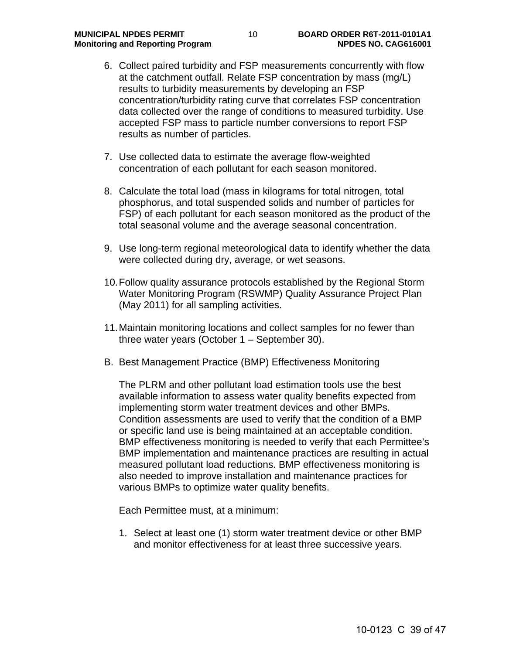- 6. Collect paired turbidity and FSP measurements concurrently with flow at the catchment outfall. Relate FSP concentration by mass (mg/L) results to turbidity measurements by developing an FSP concentration/turbidity rating curve that correlates FSP concentration data collected over the range of conditions to measured turbidity. Use accepted FSP mass to particle number conversions to report FSP results as number of particles.
- 7. Use collected data to estimate the average flow-weighted concentration of each pollutant for each season monitored.
- 8. Calculate the total load (mass in kilograms for total nitrogen, total phosphorus, and total suspended solids and number of particles for FSP) of each pollutant for each season monitored as the product of the total seasonal volume and the average seasonal concentration.
- 9. Use long-term regional meteorological data to identify whether the data were collected during dry, average, or wet seasons.
- 10. Follow quality assurance protocols established by the Regional Storm Water Monitoring Program (RSWMP) Quality Assurance Project Plan (May 2011) for all sampling activities.
- 11. Maintain monitoring locations and collect samples for no fewer than three water years (October 1 – September 30).
- B. Best Management Practice (BMP) Effectiveness Monitoring

The PLRM and other pollutant load estimation tools use the best available information to assess water quality benefits expected from implementing storm water treatment devices and other BMPs. Condition assessments are used to verify that the condition of a BMP or specific land use is being maintained at an acceptable condition. BMP effectiveness monitoring is needed to verify that each Permittee's BMP implementation and maintenance practices are resulting in actual measured pollutant load reductions. BMP effectiveness monitoring is also needed to improve installation and maintenance practices for various BMPs to optimize water quality benefits.

Each Permittee must, at a minimum:

1. Select at least one (1) storm water treatment device or other BMP and monitor effectiveness for at least three successive years.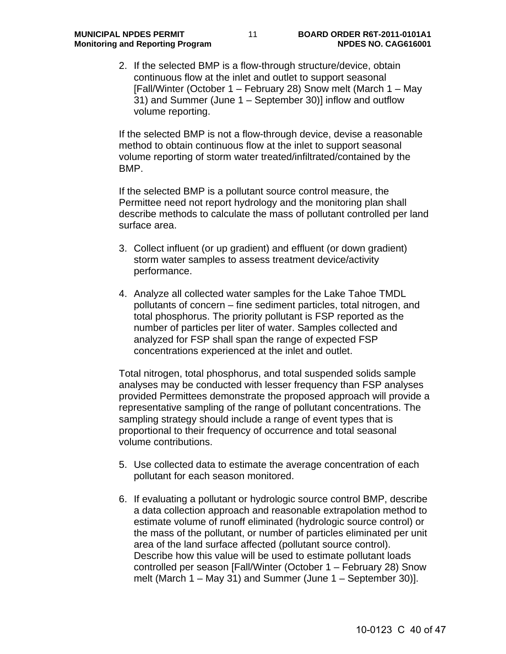2. If the selected BMP is a flow-through structure/device, obtain continuous flow at the inlet and outlet to support seasonal [Fall/Winter (October 1 – February 28) Snow melt (March 1 – May 31) and Summer (June 1 – September 30)] inflow and outflow volume reporting.

If the selected BMP is not a flow-through device, devise a reasonable method to obtain continuous flow at the inlet to support seasonal volume reporting of storm water treated/infiltrated/contained by the BMP.

If the selected BMP is a pollutant source control measure, the Permittee need not report hydrology and the monitoring plan shall describe methods to calculate the mass of pollutant controlled per land surface area.

- 3. Collect influent (or up gradient) and effluent (or down gradient) storm water samples to assess treatment device/activity performance.
- 4. Analyze all collected water samples for the Lake Tahoe TMDL pollutants of concern – fine sediment particles, total nitrogen, and total phosphorus. The priority pollutant is FSP reported as the number of particles per liter of water. Samples collected and analyzed for FSP shall span the range of expected FSP concentrations experienced at the inlet and outlet.

Total nitrogen, total phosphorus, and total suspended solids sample analyses may be conducted with lesser frequency than FSP analyses provided Permittees demonstrate the proposed approach will provide a representative sampling of the range of pollutant concentrations. The sampling strategy should include a range of event types that is proportional to their frequency of occurrence and total seasonal volume contributions.

- 5. Use collected data to estimate the average concentration of each pollutant for each season monitored.
- 6. If evaluating a pollutant or hydrologic source control BMP, describe a data collection approach and reasonable extrapolation method to estimate volume of runoff eliminated (hydrologic source control) or the mass of the pollutant, or number of particles eliminated per unit area of the land surface affected (pollutant source control). Describe how this value will be used to estimate pollutant loads controlled per season [Fall/Winter (October 1 – February 28) Snow melt (March 1 – May 31) and Summer (June 1 – September 30)].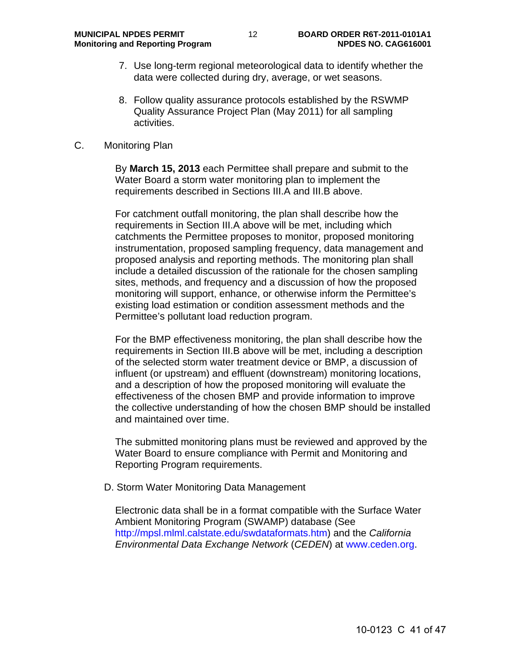- 7. Use long-term regional meteorological data to identify whether the data were collected during dry, average, or wet seasons.
- 8. Follow quality assurance protocols established by the RSWMP Quality Assurance Project Plan (May 2011) for all sampling activities.
- C. Monitoring Plan

By **March 15, 2013** each Permittee shall prepare and submit to the Water Board a storm water monitoring plan to implement the requirements described in Sections III.A and III.B above.

For catchment outfall monitoring, the plan shall describe how the requirements in Section III.A above will be met, including which catchments the Permittee proposes to monitor, proposed monitoring instrumentation, proposed sampling frequency, data management and proposed analysis and reporting methods. The monitoring plan shall include a detailed discussion of the rationale for the chosen sampling sites, methods, and frequency and a discussion of how the proposed monitoring will support, enhance, or otherwise inform the Permittee's existing load estimation or condition assessment methods and the Permittee's pollutant load reduction program.

For the BMP effectiveness monitoring, the plan shall describe how the requirements in Section III.B above will be met, including a description of the selected storm water treatment device or BMP, a discussion of influent (or upstream) and effluent (downstream) monitoring locations, and a description of how the proposed monitoring will evaluate the effectiveness of the chosen BMP and provide information to improve the collective understanding of how the chosen BMP should be installed and maintained over time.

The submitted monitoring plans must be reviewed and approved by the Water Board to ensure compliance with Permit and Monitoring and Reporting Program requirements.

D. Storm Water Monitoring Data Management

Electronic data shall be in a format compatible with the Surface Water Ambient Monitoring Program (SWAMP) database (See http://mpsl.mlml.calstate.edu/swdataformats.htm) and the *California Environmental Data Exchange Network* (*CEDEN*) at www.ceden.org.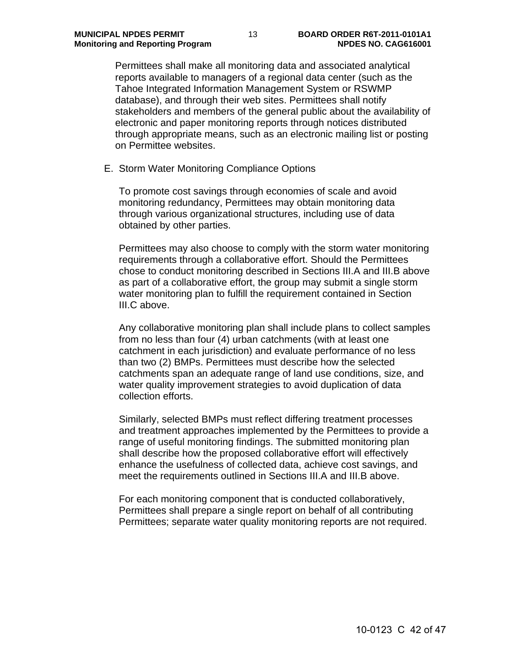Permittees shall make all monitoring data and associated analytical reports available to managers of a regional data center (such as the Tahoe Integrated Information Management System or RSWMP database), and through their web sites. Permittees shall notify stakeholders and members of the general public about the availability of electronic and paper monitoring reports through notices distributed through appropriate means, such as an electronic mailing list or posting on Permittee websites.

E. Storm Water Monitoring Compliance Options

To promote cost savings through economies of scale and avoid monitoring redundancy, Permittees may obtain monitoring data through various organizational structures, including use of data obtained by other parties.

Permittees may also choose to comply with the storm water monitoring requirements through a collaborative effort. Should the Permittees chose to conduct monitoring described in Sections III.A and III.B above as part of a collaborative effort, the group may submit a single storm water monitoring plan to fulfill the requirement contained in Section III.C above.

Any collaborative monitoring plan shall include plans to collect samples from no less than four (4) urban catchments (with at least one catchment in each jurisdiction) and evaluate performance of no less than two (2) BMPs. Permittees must describe how the selected catchments span an adequate range of land use conditions, size, and water quality improvement strategies to avoid duplication of data collection efforts.

Similarly, selected BMPs must reflect differing treatment processes and treatment approaches implemented by the Permittees to provide a range of useful monitoring findings. The submitted monitoring plan shall describe how the proposed collaborative effort will effectively enhance the usefulness of collected data, achieve cost savings, and meet the requirements outlined in Sections III.A and III.B above.

For each monitoring component that is conducted collaboratively, Permittees shall prepare a single report on behalf of all contributing Permittees; separate water quality monitoring reports are not required.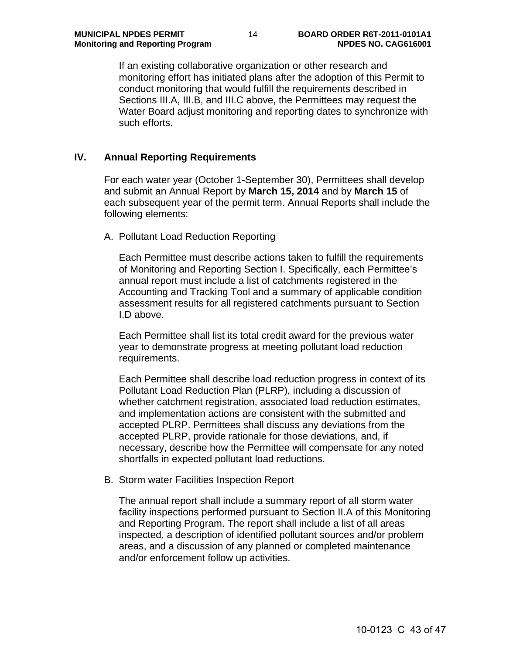If an existing collaborative organization or other research and monitoring effort has initiated plans after the adoption of this Permit to conduct monitoring that would fulfill the requirements described in Sections III.A, III.B, and III.C above, the Permittees may request the Water Board adjust monitoring and reporting dates to synchronize with such efforts.

## **IV. Annual Reporting Requirements**

For each water year (October 1-September 30), Permittees shall develop and submit an Annual Report by **March 15, 2014** and by **March 15** of each subsequent year of the permit term. Annual Reports shall include the following elements:

#### A. Pollutant Load Reduction Reporting

Each Permittee must describe actions taken to fulfill the requirements of Monitoring and Reporting Section I. Specifically, each Permittee's annual report must include a list of catchments registered in the Accounting and Tracking Tool and a summary of applicable condition assessment results for all registered catchments pursuant to Section I.D above.

Each Permittee shall list its total credit award for the previous water year to demonstrate progress at meeting pollutant load reduction requirements.

Each Permittee shall describe load reduction progress in context of its Pollutant Load Reduction Plan (PLRP), including a discussion of whether catchment registration, associated load reduction estimates, and implementation actions are consistent with the submitted and accepted PLRP. Permittees shall discuss any deviations from the accepted PLRP, provide rationale for those deviations, and, if necessary, describe how the Permittee will compensate for any noted shortfalls in expected pollutant load reductions.

#### B. Storm water Facilities Inspection Report

The annual report shall include a summary report of all storm water facility inspections performed pursuant to Section II.A of this Monitoring and Reporting Program. The report shall include a list of all areas inspected, a description of identified pollutant sources and/or problem areas, and a discussion of any planned or completed maintenance and/or enforcement follow up activities.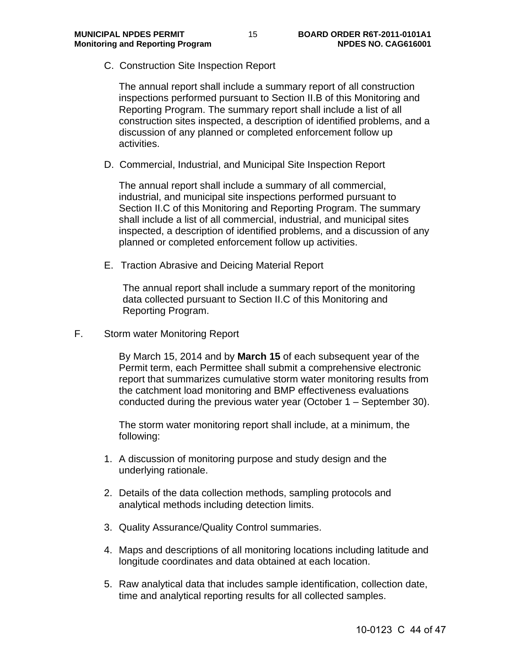C. Construction Site Inspection Report

The annual report shall include a summary report of all construction inspections performed pursuant to Section II.B of this Monitoring and Reporting Program. The summary report shall include a list of all construction sites inspected, a description of identified problems, and a discussion of any planned or completed enforcement follow up activities.

D. Commercial, Industrial, and Municipal Site Inspection Report

The annual report shall include a summary of all commercial, industrial, and municipal site inspections performed pursuant to Section II.C of this Monitoring and Reporting Program. The summary shall include a list of all commercial, industrial, and municipal sites inspected, a description of identified problems, and a discussion of any planned or completed enforcement follow up activities.

E. Traction Abrasive and Deicing Material Report

The annual report shall include a summary report of the monitoring data collected pursuant to Section II.C of this Monitoring and Reporting Program.

F. Storm water Monitoring Report

By March 15, 2014 and by **March 15** of each subsequent year of the Permit term, each Permittee shall submit a comprehensive electronic report that summarizes cumulative storm water monitoring results from the catchment load monitoring and BMP effectiveness evaluations conducted during the previous water year (October 1 – September 30).

The storm water monitoring report shall include, at a minimum, the following:

- 1. A discussion of monitoring purpose and study design and the underlying rationale.
- 2. Details of the data collection methods, sampling protocols and analytical methods including detection limits.
- 3. Quality Assurance/Quality Control summaries.
- 4. Maps and descriptions of all monitoring locations including latitude and longitude coordinates and data obtained at each location.
- 5. Raw analytical data that includes sample identification, collection date, time and analytical reporting results for all collected samples.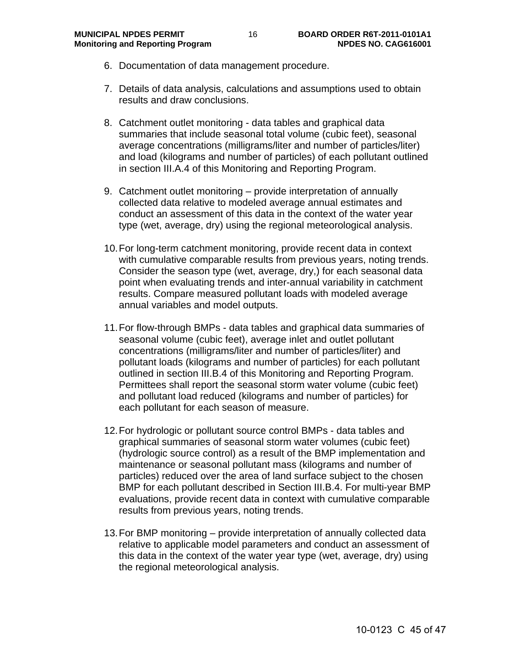- 6. Documentation of data management procedure.
- 7. Details of data analysis, calculations and assumptions used to obtain results and draw conclusions.
- 8. Catchment outlet monitoring data tables and graphical data summaries that include seasonal total volume (cubic feet), seasonal average concentrations (milligrams/liter and number of particles/liter) and load (kilograms and number of particles) of each pollutant outlined in section III.A.4 of this Monitoring and Reporting Program.
- 9. Catchment outlet monitoring provide interpretation of annually collected data relative to modeled average annual estimates and conduct an assessment of this data in the context of the water year type (wet, average, dry) using the regional meteorological analysis.
- 10. For long-term catchment monitoring, provide recent data in context with cumulative comparable results from previous years, noting trends. Consider the season type (wet, average, dry,) for each seasonal data point when evaluating trends and inter-annual variability in catchment results. Compare measured pollutant loads with modeled average annual variables and model outputs.
- 11. For flow-through BMPs data tables and graphical data summaries of seasonal volume (cubic feet), average inlet and outlet pollutant concentrations (milligrams/liter and number of particles/liter) and pollutant loads (kilograms and number of particles) for each pollutant outlined in section III.B.4 of this Monitoring and Reporting Program. Permittees shall report the seasonal storm water volume (cubic feet) and pollutant load reduced (kilograms and number of particles) for each pollutant for each season of measure.
- 12. For hydrologic or pollutant source control BMPs data tables and graphical summaries of seasonal storm water volumes (cubic feet) (hydrologic source control) as a result of the BMP implementation and maintenance or seasonal pollutant mass (kilograms and number of particles) reduced over the area of land surface subject to the chosen BMP for each pollutant described in Section III.B.4. For multi-year BMP evaluations, provide recent data in context with cumulative comparable results from previous years, noting trends.
- 13. For BMP monitoring provide interpretation of annually collected data relative to applicable model parameters and conduct an assessment of this data in the context of the water year type (wet, average, dry) using the regional meteorological analysis.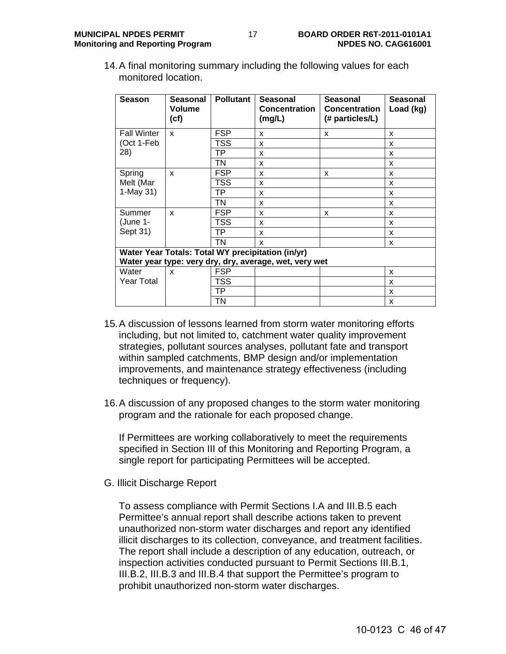14. A final monitoring summary including the following values for each monitored location.

| <b>Season</b>                                          | Seasonal<br><b>Volume</b><br>(cf) | <b>Pollutant</b> | <b>Seasonal</b><br><b>Concentration</b><br>(mg/L) | <b>Seasonal</b><br><b>Concentration</b><br>(# particles/L) | <b>Seasonal</b><br>Load (kg) |
|--------------------------------------------------------|-----------------------------------|------------------|---------------------------------------------------|------------------------------------------------------------|------------------------------|
| <b>Fall Winter</b>                                     | x                                 | <b>FSP</b>       | x                                                 | x                                                          | x                            |
| (Oct 1-Feb                                             |                                   | TSS              | X                                                 |                                                            | x                            |
| 28)                                                    |                                   | TP               | X                                                 |                                                            | x                            |
|                                                        |                                   | TN               | X                                                 |                                                            | X                            |
| Spring<br>Melt (Mar<br>$1-May 31)$                     | x                                 | <b>FSP</b>       | x                                                 | x                                                          | x                            |
|                                                        |                                   | TSS              | X                                                 |                                                            | X                            |
|                                                        |                                   | TP               | x                                                 |                                                            | x                            |
|                                                        |                                   | TN               | X                                                 |                                                            | x                            |
| Summer                                                 | X                                 | <b>FSP</b>       | x                                                 | x                                                          | x                            |
| (June 1-<br>Sept 31)                                   |                                   | <b>TSS</b>       | X                                                 |                                                            | X                            |
|                                                        |                                   | ТP               | X                                                 |                                                            | x                            |
|                                                        |                                   | TN               | X                                                 |                                                            | X                            |
| Water Year Totals: Total WY precipitation (in/yr)      |                                   |                  |                                                   |                                                            |                              |
| Water year type: very dry, dry, average, wet, very wet |                                   |                  |                                                   |                                                            |                              |
| Water                                                  | X                                 | <b>FSP</b>       |                                                   |                                                            | X                            |
| Year Total                                             |                                   | TSS              |                                                   |                                                            | x                            |
|                                                        |                                   | TP               |                                                   |                                                            | X                            |
|                                                        |                                   | TN               |                                                   |                                                            | X                            |

- 15. A discussion of lessons learned from storm water monitoring efforts including, but not limited to, catchment water quality improvement strategies, pollutant sources analyses, pollutant fate and transport within sampled catchments, BMP design and/or implementation improvements, and maintenance strategy effectiveness (including techniques or frequency).
- 16. A discussion of any proposed changes to the storm water monitoring program and the rationale for each proposed change.

If Permittees are working collaboratively to meet the requirements specified in Section III of this Monitoring and Reporting Program, a single report for participating Permittees will be accepted.

G. Illicit Discharge Report

To assess compliance with Permit Sections I.A and III.B.5 each Permittee's annual report shall describe actions taken to prevent unauthorized non-storm water discharges and report any identified illicit discharges to its collection, conveyance, and treatment facilities. The report shall include a description of any education, outreach, or inspection activities conducted pursuant to Permit Sections III.B.1, III.B.2, III.B.3 and III.B.4 that support the Permittee's program to prohibit unauthorized non-storm water discharges.